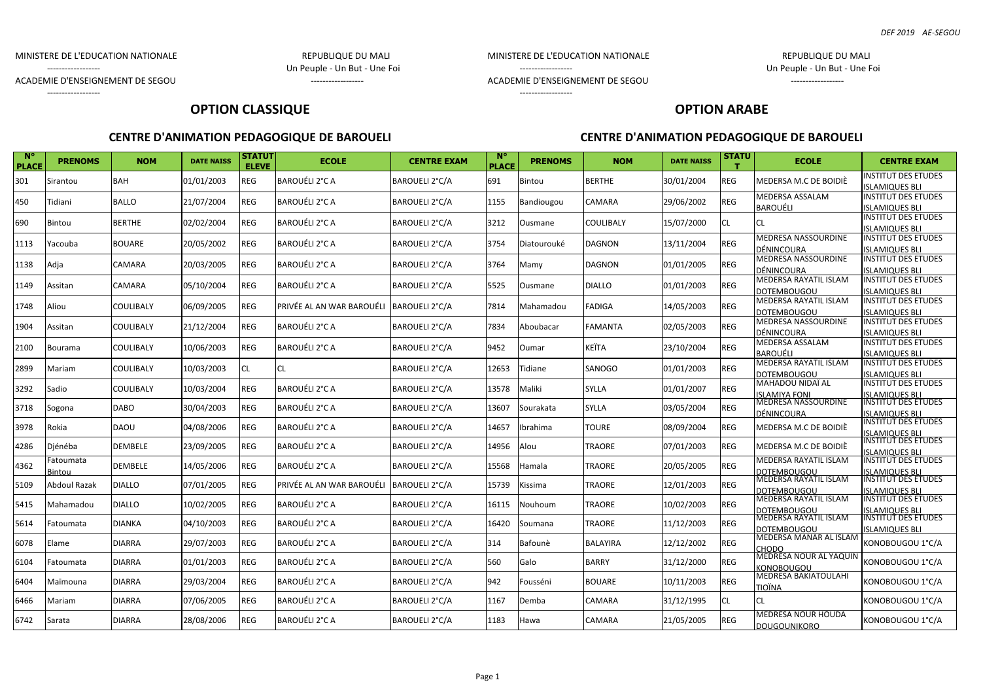### MINISTERE DE L'EDUCATION NATIONALE REPUBLIQUE DU MALI

ACADEMIE D'ENSEIGNEMENT DE SEGOU ------------------

------------------

------------------ Un Peuple - Un But - Une Foi

------------------

### MINISTERE DE L'EDUCATION NATIONALE REPUBLIQUE DU MALI

------------------ Un Peuple - Un But - Une Foi

ACADEMIE D'ENSEIGNEMENT DE SEGOU ACADEMIE D'ENSEIGNEMENT DE SEGOU

# **OPTION CLASSIQUE**

### **CENTRE D'ANIMATION PEDAGOGIQUE DE BAROUELI CENTRE D'ANIMATION PEDAGOGIQUE DE BAROUELI**

**OPTION ARABE**

| <b>N°</b><br><b>PLACE</b> | <b>PRENOMS</b>      | <b>NOM</b>       | <b>DATE NAISS</b> | <b>STATUT</b><br><b>ELEVE</b> | <b>ECOLE</b>              | <b>CENTRE EXAM</b>    | <b>N°</b><br><b>PLACE</b> | <b>PRENOMS</b> | <b>NOM</b>      | <b>DATE NAISS</b> | <b>STATU</b> | <b>ECOLE</b>                                                          | <b>CENTRE EXAM</b>                                  |
|---------------------------|---------------------|------------------|-------------------|-------------------------------|---------------------------|-----------------------|---------------------------|----------------|-----------------|-------------------|--------------|-----------------------------------------------------------------------|-----------------------------------------------------|
| 301                       | Sirantou            | <b>BAH</b>       | 01/01/2003        | <b>REG</b>                    | BAROUÉLI 2°C A            | BAROUELI 2°C/A        | 691                       | Bintou         | BERTHE          | 30/01/2004        | REG          | MEDERSA M.C DE BOIDIÈ                                                 | <b>NSTITUT DES ETUDES</b><br><b>SLAMIQUES BLI</b>   |
| 450                       | Tidiani             | <b>BALLO</b>     | 21/07/2004        | <b>REG</b>                    | BAROUÉLI 2°C A            | <b>BAROUELI 2°C/A</b> | 1155                      | Bandiougou     | CAMARA          | 29/06/2002        | REG          | MEDERSA ASSALAM<br><b>BAROUÉLI</b>                                    | <b>NSTITUT DES ETUDES</b><br><b>ISLAMIQUES BLI</b>  |
| 690                       | Bintou              | <b>BERTHE</b>    | 02/02/2004        | <b>REG</b>                    | BAROUÉLI 2°C A            | BAROUELI 2°C/A        | 3212                      | Ousmane        | COULIBALY       | 15/07/2000        | CL           | <b>CL</b>                                                             | <b>NSTITUT DES ETUDES</b><br><b>SLAMIQUES BLI</b>   |
| 1113                      | Yacouba             | <b>BOUARE</b>    | 20/05/2002        | <b>REG</b>                    | <b>BAROUÉLI 2°C A</b>     | BAROUELI 2°C/A        | 3754                      | Diatourouké    | <b>DAGNON</b>   | 13/11/2004        | REG          | <b>MEDRESA NASSOURDINE</b><br>DÉNINCOURA                              | <b>NSTITUT DES ETUDES</b><br><b>SLAMIQUES BLI</b>   |
| 1138                      | Adja                | CAMARA           | 20/03/2005        | <b>REG</b>                    | BAROUÉLI 2°C A            | BAROUELI 2°C/A        | 3764                      | Mamv           | <b>DAGNON</b>   | 01/01/2005        | REG          | MEDRESA NASSOURDINE<br>DÉNINCOURA                                     | <b>INSTITUT DES ETUDES</b><br><b>ISLAMIQUES BLI</b> |
| 1149                      | Assitan             | CAMARA           | 05/10/2004        | REG                           | BAROUÉLI 2°C A            | BAROUELI 2°C/A        | 5525                      | Ousmane        | <b>DIALLO</b>   | 01/01/2003        | REG          | MEDERSA RAYATIL ISLAM<br><b>DOTEMBOUGOU</b>                           | <b>INSTITUT DES ETUDES</b><br><b>ISLAMIQUES BLI</b> |
| 1748                      | Aliou               | <b>COULIBALY</b> | 06/09/2005        | <b>REG</b>                    | PRIVÉE AL AN WAR BAROUÉLI | BAROUELI 2°C/A        | 7814                      | Mahamadou      | <b>FADIGA</b>   | 14/05/2003        | REG          | MEDERSA RAYATIL ISLAM<br><b>DOTEMBOUGOU</b>                           | <b>NSTITUT DES ETUDES</b><br><b>ISLAMIQUES BLI</b>  |
| 1904                      | Assitan             | <b>COULIBALY</b> | 21/12/2004        | REG                           | BAROUÉLI 2°C A            | BAROUELI 2°C/A        | 7834                      | Aboubacar      | <b>FAMANTA</b>  | 02/05/2003        | REG          | MEDRESA NASSOURDINE<br>DÉNINCOURA                                     | INSTITUT DES ETUDES<br><b>ISLAMIQUES BLI</b>        |
| 2100                      | Bourama             | COULIBALY        | 10/06/2003        | REG                           | <b>BAROUÉLI 2°C A</b>     | BAROUELI 2°C/A        | 9452                      | Oumar          | KEÏTA           | 23/10/2004        | REG          | <b>MEDERSA ASSALAM</b><br><b>BAROUÉLI</b>                             | <b>INSTITUT DES ETUDES</b><br><b>SLAMIQUES BLI</b>  |
| 2899                      | Mariam              | <b>COULIBALY</b> | 10/03/2003        | <b>CL</b>                     | CL                        | BAROUELI 2°C/A        | 12653                     | Tidiane        | SANOGO          | 01/01/2003        | <b>REG</b>   | <b>MEDERSA RAYATIL ISLAM</b><br><b>DOTEMBOUGOU</b>                    | <b>NSTITUT DES ETUDES</b><br><b>ISLAMIQUES BLI</b>  |
| 3292                      | Sadio               | <b>COULIBALY</b> | 10/03/2004        | <b>REG</b>                    | BAROUÉLI 2°C A            | BAROUELI 2°C/A        | 13578                     | Maliki         | <b>SYLLA</b>    | 01/01/2007        | REG          | MAHADOU NIDAÏ AL<br><b>ISLAMIYA FONI</b>                              | <b>NSTITUT DES ETUDES</b><br><b>SLAMIQUES BLI</b>   |
| 3718                      | Sogona              | <b>DABO</b>      | 30/04/2003        | <b>REG</b>                    | BAROUÉLI 2°C A            | BAROUELI 2°C/A        | 13607                     | Sourakata      | <b>SYLLA</b>    | 03/05/2004        | REG          | <b>MEDRESA NASSOURDINE</b><br>DÉNINCOURA                              | INSTITUT DES ETUDES<br><b>SLAMIQUES BLI</b>         |
| 3978                      | Rokia               | <b>DAOU</b>      | 04/08/2006        | REG                           | BAROUÉLI 2°C A            | BAROUELI 2°C/A        | 14657                     | <b>brahima</b> | <b>TOURE</b>    | 08/09/2004        | REG          | MEDERSA M.C DE BOIDIÈ                                                 | <b>NSTITUT DES ETUDES</b><br><b>SLAMIQUES BLI</b>   |
| 4286                      | Djénéba             | <b>DEMBELE</b>   | 23/09/2005        | <b>REG</b>                    | BAROUÉLI 2°C A            | BAROUELI 2°C/A        | 14956                     | Alou           | <b>TRAORE</b>   | 07/01/2003        | REG          | MEDERSA M.C DE BOIDIÈ                                                 | <b>NSTITUT DES ETUDES</b><br><b>SLAMIQUES BLI</b>   |
| 4362                      | Fatoumata<br>Bintou | <b>DEMBELE</b>   | 14/05/2006        | <b>REG</b>                    | <b>BAROUÉLI 2°C A</b>     | BAROUELI 2°C/A        | 15568                     | Hamala         | <b>TRAORE</b>   | 20/05/2005        | <b>REG</b>   | <b>MEDERSA RAYATIL ISLAM</b><br><b>DOTEMBOUGOU</b>                    | <b>NSTITUT DES ETUDES</b><br><b>SLAMIQUES BLI</b>   |
| 5109                      | <b>Abdoul Razak</b> | <b>DIALLO</b>    | 07/01/2005        | <b>REG</b>                    | PRIVÉE AL AN WAR BAROUÉLI | BAROUELI 2°C/A        | 15739                     | Kissima        | <b>TRAORE</b>   | 12/01/2003        | REG          | MEDERSA RAYATIL ISLAM<br><b>DOTEMBOUGOU</b>                           | <b>NSTITUT DES ETUDES</b><br><b>SLAMIQUES BLI</b>   |
| 5415                      | Mahamadou           | <b>DIALLO</b>    | 10/02/2005        | <b>REG</b>                    | BAROUÉLI 2°C A            | BAROUELI 2°C/A        | 16115                     | Nouhoum        | <b>TRAORE</b>   | 10/02/2003        | REG          | MEDERSA RAYATIL ISLAM<br><b>DOTEMBOUGOU</b>                           | <b>NSTITUT DES ETUDES</b><br><b>SLAMIQUES BLI</b>   |
| 5614                      | Fatoumata           | <b>DIANKA</b>    | 04/10/2003        | REG                           | BAROUÉLI 2°C A            | BAROUELI 2°C/A        | 16420                     | Soumana        | <b>TRAORE</b>   | 11/12/2003        | REG          | MEDERSA RAYATIL ISLAM<br><b>DOTEMBOUGOU</b><br>MEDERSA MANAR AL ISLAM | <b>NSTITUT DES ETUDES</b><br><b>SLAMIQUES BLI</b>   |
| 6078                      | Elame               | <b>DIARRA</b>    | 29/07/2003        | REG                           | BAROUÉLI 2°C A            | BAROUELI 2°C/A        | 314                       | Bafounè        | <b>BALAYIRA</b> | 12/12/2002        | REG          | CHODO<br>MEDRESA NOUR AL YAQUIN                                       | KONOBOUGOU 1°C/A                                    |
| 6104                      | Fatoumata           | <b>DIARRA</b>    | 01/01/2003        | <b>REG</b>                    | BAROUÉLI 2°C A            | BAROUELI 2°C/A        | 560                       | Galo           | <b>BARRY</b>    | 31/12/2000        | <b>REG</b>   | <b>KONOBOUGOU</b><br>MEDRESA BAKIATOULAHI                             | KONOBOUGOU 1°C/A                                    |
| 6404                      | Maïmouna            | <b>DIARRA</b>    | 29/03/2004        | <b>REG</b>                    | BAROUÉLI 2°C A            | BAROUELI 2°C/A        | 942                       | Fousséni       | <b>BOUARE</b>   | 10/11/2003        | REG          | <b>TIOÏNA</b>                                                         | KONOBOUGOU 1°C/A                                    |
| 6466                      | Mariam              | <b>DIARRA</b>    | 07/06/2005        | <b>REG</b>                    | BAROUÉLI 2°C A            | BAROUELI 2°C/A        | 1167                      | Demba          | CAMARA          | 31/12/1995        | CL           | CL<br>MEDRESA NOUR HOUDA                                              | KONOBOUGOU 1°C/A                                    |
| 6742                      | Sarata              | <b>DIARRA</b>    | 28/08/2006        | <b>REG</b>                    | BAROUÉLI 2°C A            | <b>BAROUELI 2°C/A</b> | 1183                      | Hawa           | CAMARA          | 21/05/2005        | REG          | <b>DOUGOUNIKORO</b>                                                   | KONOBOUGOU 1°C/A                                    |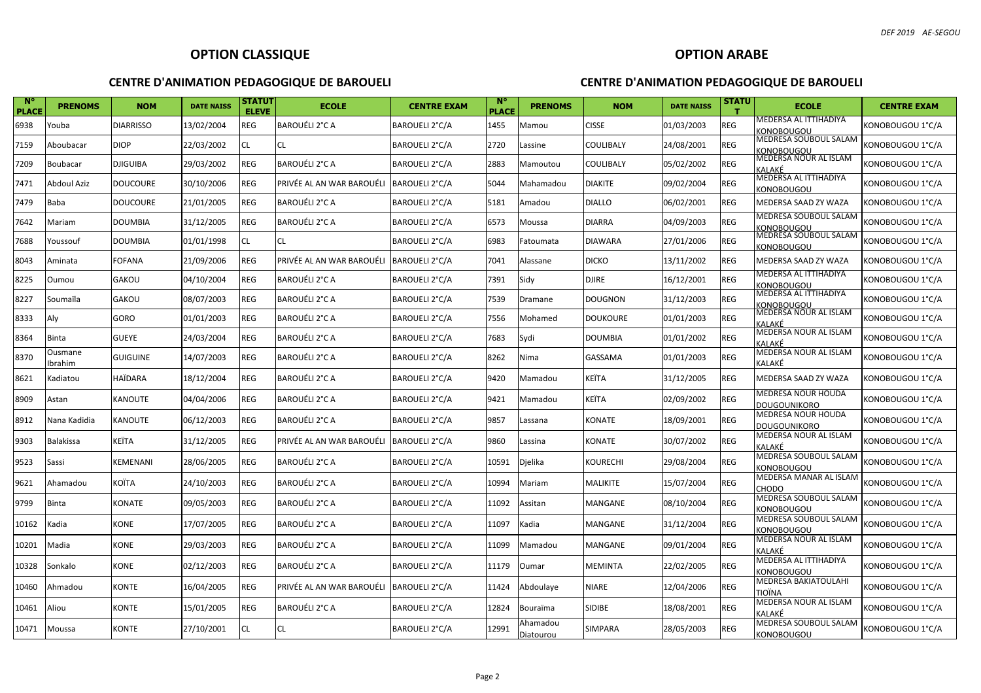| $N^{\circ}$<br><b>PLACE</b> | <b>PRENOMS</b>     | <b>NOM</b>       | <b>DATE NAISS</b> | STATUT<br><b>ELEVE</b> | <b>ECOLE</b>              | <b>CENTRE EXAM</b> | <b>N°</b><br><b>PLACE</b> | <b>PRENOMS</b> | <b>NOM</b>      | <b>DATE NAISS</b> | STATU      | <b>ECOLE</b>                               | <b>CENTRE EXAM</b> |
|-----------------------------|--------------------|------------------|-------------------|------------------------|---------------------------|--------------------|---------------------------|----------------|-----------------|-------------------|------------|--------------------------------------------|--------------------|
| 6938                        | Youba              | <b>DIARRISSO</b> | 13/02/2004        | <b>REG</b>             | <b>BAROUÉLI 2°C A</b>     | BAROUELI 2°C/A     | 1455                      | Mamou          | <b>CISSE</b>    | 01/03/2003        | REG        | MEDERSA AL ITTIHADIYA<br>KONOBOUGOU        | KONOBOUGOU 1°C/A   |
| 7159                        | Aboubacar          | <b>DIOP</b>      | 22/03/2002        | CL                     | CL.                       | BAROUELI 2°C/A     | 2720                      | Lassine        | COULIBALY       | 24/08/2001        | REG        | MEDRESA SOUBOUL SALAM<br>KONOBOUGOU        | KONOBOUGOU 1°C/A   |
| 7209                        | Boubacar           | <b>DJIGUIBA</b>  | 29/03/2002        | REG                    | <b>BAROUÉLI 2°C A</b>     | BAROUELI 2°C/A     | 2883                      | Mamoutou       | COULIBALY       | 05/02/2002        | REG        | MEDERSA NOUR AL ISLAM<br>KALAKÉ            | KONOBOUGOU 1°C/A   |
| 7471                        | <b>Abdoul Aziz</b> | <b>DOUCOURE</b>  | 30/10/2006        | REG                    | PRIVÉE AL AN WAR BAROUÉLI | BAROUELI 2°C/A     | 5044                      | Mahamadou      | <b>DIAKITE</b>  | 09/02/2004        | REG        | MEDERSA AL ITTIHADIYA<br>KONOBOUGOU        | KONOBOUGOU 1°C/A   |
| 7479                        | Baba               | <b>DOUCOURE</b>  | 21/01/2005        | REG                    | BAROUÉLI 2°C A            | BAROUELI 2°C/A     | 5181                      | Amadou         | <b>DIALLO</b>   | 06/02/2001        | REG        | MEDERSA SAAD ZY WAZA                       | KONOBOUGOU 1°C/A   |
| 7642                        | Mariam             | <b>DOUMBIA</b>   | 31/12/2005        | REG                    | BAROUÉLI 2°C A            | BAROUELI 2°C/A     | 6573                      | Moussa         | <b>DIARRA</b>   | 04/09/2003        | REG        | MEDRESA SOUBOUL SALAM<br>KONOBOUGOU        | KONOBOUGOU 1°C/A   |
| 7688                        | Youssouf           | <b>DOUMBIA</b>   | 01/01/1998        | CL                     | CL                        | BAROUELI 2°C/A     | 6983                      | Fatoumata      | <b>DIAWARA</b>  | 27/01/2006        | REG        | <b>MEDRESA SOUBOUL SALAM</b><br>KONOBOUGOU | KONOBOUGOU 1°C/A   |
| 8043                        | Aminata            | <b>FOFANA</b>    | 21/09/2006        | REG                    | PRIVÉE AL AN WAR BAROUÉLI | BAROUELI 2°C/A     | 7041                      | Alassane       | <b>DICKO</b>    | 13/11/2002        | REG        | MEDERSA SAAD ZY WAZA                       | KONOBOUGOU 1°C/A   |
| 8225                        | Oumou              | <b>GAKOU</b>     | 04/10/2004        | REG                    | BAROUÉLI 2°C A            | BAROUELI 2°C/A     | 7391                      | Sidy           | <b>DJIRE</b>    | 16/12/2001        | REG        | MEDERSA AL ITTIHADIYA<br>KONOBOUGOU        | KONOBOUGOU 1°C/A   |
| 8227                        | Soumaïla           | <b>GAKOU</b>     | 08/07/2003        | REG                    | BAROUÉLI 2°C A            | BAROUELI 2°C/A     | 7539                      | Dramane        | <b>DOUGNON</b>  | 31/12/2003        | REG        | MEDERSA AL ITTIHADIYA<br>KONOBOUGOU        | KONOBOUGOU 1°C/A   |
| 8333                        | Aly                | GORO             | 01/01/2003        | REG                    | BAROUÉLI 2°C A            | BAROUELI 2°C/A     | 7556                      | Mohamed        | <b>DOUKOURE</b> | 01/01/2003        | <b>REG</b> | MEDERSA NOUR AL ISLAM<br>KALAKÉ            | KONOBOUGOU 1°C/A   |
| 8364                        | Binta              | <b>GUEYE</b>     | 24/03/2004        | REG                    | BAROUÉLI 2°C A            | BAROUELI 2°C/A     | 7683                      | Sydi           | <b>DOUMBIA</b>  | 01/01/2002        | REG        | MEDERSA NOUR AL ISLAM<br>KALAKÉ            | KONOBOUGOU 1°C/A   |
| 8370                        | Ousmane<br>Ibrahim | <b>GUIGUINE</b>  | 14/07/2003        | REG                    | BAROUÉLI 2°C A            | BAROUELI 2°C/A     | 8262                      | Nima           | GASSAMA         | 01/01/2003        | REG        | MEDERSA NOUR AL ISLAM<br>KALAKÉ            | KONOBOUGOU 1°C/A   |
| 8621                        | Kadiatou           | <b>HAÏDARA</b>   | 18/12/2004        | REG                    | BAROUÉLI 2°C A            | BAROUELI 2°C/A     | 9420                      | Mamadou        | KEÏTA           | 31/12/2005        | REG        | MEDERSA SAAD ZY WAZA                       | KONOBOUGOU 1°C/A   |
| 8909                        | Astan              | <b>KANOUTE</b>   | 04/04/2006        | REG                    | BAROUÉLI 2°C A            | BAROUELI 2°C/A     | 9421                      | Mamadou        | KEÏTA           | 02/09/2002        | REG        | MEDRESA NOUR HOUDA<br><b>DOUGOUNIKORO</b>  | KONOBOUGOU 1°C/A   |
| 8912                        | Nana Kadidia       | <b>KANOUTE</b>   | 06/12/2003        | REG                    | BAROUÉLI 2°C A            | BAROUELI 2°C/A     | 9857                      | Lassana        | KONATE          | 18/09/2001        | <b>REG</b> | MEDRESA NOUR HOUDA<br><b>DOUGOUNIKORO</b>  | KONOBOUGOU 1°C/A   |
| 9303                        | <b>Balakissa</b>   | <b>KEITA</b>     | 31/12/2005        | REG                    | PRIVÉE AL AN WAR BAROUÉLI | BAROUELI 2°C/A     | 9860                      | Lassina        | <b>KONATE</b>   | 30/07/2002        | REG        | MEDERSA NOUR AL ISLAM<br>KAI AKÉ           | KONOBOUGOU 1°C/A   |
| 9523                        | Sassi              | <b>KEMENANI</b>  | 28/06/2005        | REG                    | BAROUÉLI 2°C A            | BAROUELI 2°C/A     | 10591                     | Djelika        | KOURECHI        | 29/08/2004        | REG        | MEDRESA SOUBOUL SALAM<br>KONOBOUGOU        | KONOBOUGOU 1°C/A   |
| 9621                        | Ahamadou           | <b>KOÏTA</b>     | 24/10/2003        | REG                    | BAROUÉLI 2°C A            | BAROUELI 2°C/A     | 10994                     | Mariam         | MALIKITE        | 15/07/2004        | REG        | MEDERSA MANAR AL ISLAM<br>CHODO.           | KONOBOUGOU 1°C/A   |
| 9799                        | <b>Binta</b>       | <b>KONATE</b>    | 09/05/2003        | REG                    | BAROUÉLI 2°C A            | BAROUELI 2°C/A     | 11092                     | Assitan        | MANGANE         | 08/10/2004        | REG        | MEDRESA SOUBOUL SALAM<br><b>KONOBOUGOU</b> | KONOBOUGOU 1°C/A   |
| 10162                       | Kadia              | <b>KONE</b>      | 17/07/2005        | REG                    | BAROUÉLI 2°C A            | BAROUELI 2°C/A     | 11097                     | Kadia          | MANGANE         | 31/12/2004        | REG        | MEDRESA SOUBOUL SALAM<br><b>KONOBOUGOU</b> | KONOBOUGOU 1°C/A   |
| 10201                       | Madia              | <b>KONE</b>      | 29/03/2003        | REG                    | BAROUÉLI 2°C A            | BAROUELI 2°C/A     | 11099                     | Mamadou        | MANGANE         | 09/01/2004        | REG        | MEDERSA NOUR AL ISLAM<br>KALAKÉ            | KONOBOUGOU 1°C/A   |
| 10328                       | Sonkalo            | KONE             | 02/12/2003        | REG                    | BAROUÉLI 2°C A            | BAROUELI 2°C/A     | 11179                     | Oumar          | MEMINTA         | 22/02/2005        | REG        | MEDERSA AL ITTIHADIYA<br>KONOBOUGOU        | KONOBOUGOU 1°C/A   |
| 10460                       | Ahmadou            | <b>KONTE</b>     | 16/04/2005        | REG                    | PRIVÉE AL AN WAR BAROUÉLI | BAROUELI 2°C/A     | 11424                     | Abdoulaye      | <b>NIARE</b>    | 12/04/2006        | REG        | MEDRESA BAKIATOULAHI<br><b>TIOÏNA</b>      | KONOBOUGOU 1°C/A   |
| 10461                       | Aliou              | <b>KONTE</b>     | 15/01/2005        | REG                    | BAROUÉLI 2°C A            | BAROUELI 2°C/A     | 12824                     | Bouraïma       | <b>SIDIBE</b>   | 18/08/2001        | REG        | MEDERSA NOUR AL ISLAM<br>KALAKÉ            | KONOBOUGOU 1°C/A   |
| 10471                       | Moussa             | <b>KONTE</b>     | 27/10/2001        | <b>CL</b>              | CL.                       | BAROUELI 2°C/A     | 12991                     | Ahamadou       | SIMPARA         | 28/05/2003        | REG        | MEDRESA SOUBOUL SALAM                      | KONOBOUGOU 1°C/A   |
|                             |                    |                  |                   |                        |                           |                    |                           | Diatourou      |                 |                   |            | <b>KONOBOUGOU</b>                          |                    |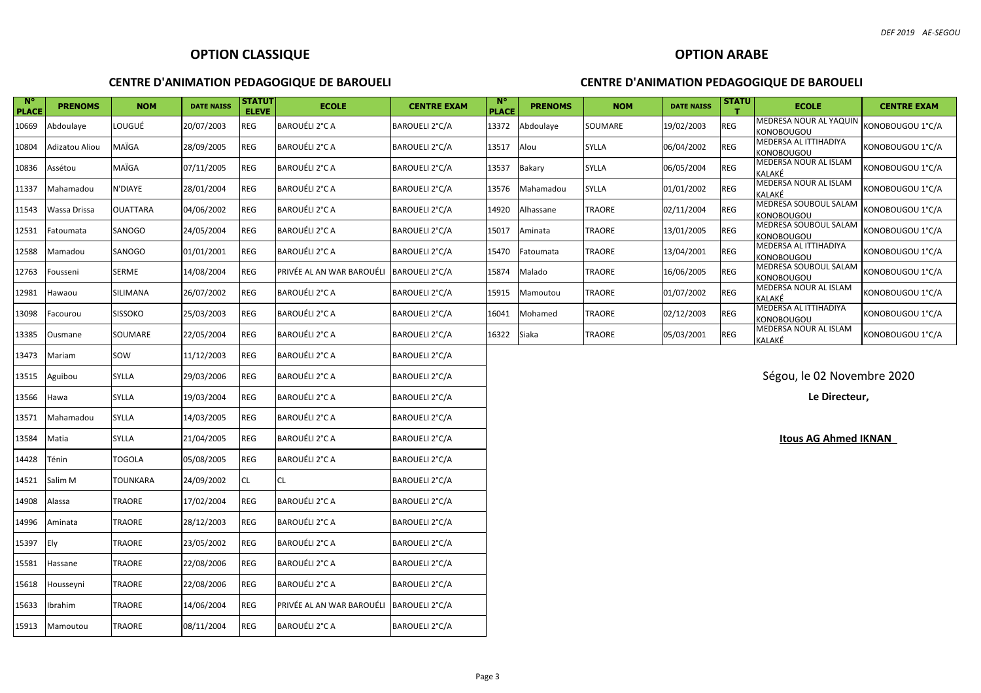| $N^{\circ}$<br><b>PLACE</b> | <b>PRENOMS</b> | <b>NOM</b>      | <b>DATE NAISS</b> | <b>STATUT</b><br><b>ELEVE</b> | <b>ECOLE</b>              | <b>CENTRE EXAM</b> | N <sub>c</sub><br><b>PLACE</b> | <b>PRENOMS</b> | <b>NOM</b> | <b>DATE NAISS</b> | <b>STATU</b> | <b>ECOLE</b>                                | <b>CENTRE EXAM</b> |
|-----------------------------|----------------|-----------------|-------------------|-------------------------------|---------------------------|--------------------|--------------------------------|----------------|------------|-------------------|--------------|---------------------------------------------|--------------------|
| 10669                       | Abdoulaye      | LOUGUÉ          | 20/07/2003        | <b>REG</b>                    | BAROUÉLI 2°C A            | BAROUELI 2°C/A     | 13372                          | Abdoulaye      | SOUMARE    | 19/02/2003        | REG          | MEDRESA NOUR AL YAQUIN<br><b>KONOBOUGOU</b> | KONOBOUGOU 1°C/A   |
| 10804                       | Adizatou Aliou | MAÏGA           | 28/09/2005        | REG                           | BAROUÉLI 2°C A            | BAROUELI 2°C/A     | 13517                          | Alou           | SYLLA      | 06/04/2002        | REG          | MEDERSA AL ITTIHADIYA<br><b>KONOBOUGOU</b>  | KONOBOUGOU 1°C/A   |
| 10836                       | Assétou        | MAÏGA           | 07/11/2005        | REG                           | BAROUÉLI 2°C A            | BAROUELI 2°C/A     | 13537                          | Bakary         | SYLLA      | 06/05/2004        | REG          | MEDERSA NOUR AL ISLAM<br>KALAKÉ             | KONOBOUGOU 1°C/A   |
| 11337                       | Mahamadou      | N'DIAYE         | 28/01/2004        | <b>REG</b>                    | BAROUÉLI 2°C A            | BAROUELI 2°C/A     | 13576                          | Mahamadou      | SYLLA      | 01/01/2002        | REG          | MEDERSA NOUR AL ISLAM<br>KALAKÉ             | KONOBOUGOU 1°C/A   |
| 11543                       | Wassa Drissa   | <b>OUATTARA</b> | 04/06/2002        | REG                           | BAROUÉLI 2°C A            | BAROUELI 2°C/A     | 14920                          | Alhassane      | TRAORE     | 02/11/2004        | <b>REG</b>   | MEDRESA SOUBOUL SALAM<br><b>KONOBOUGOU</b>  | KONOBOUGOU 1°C/A   |
| 12531                       | Fatoumata      | SANOGO          | 24/05/2004        | <b>REG</b>                    | BAROUÉLI 2°C A            | BAROUELI 2°C/A     | 15017                          | Aminata        | TRAORE     | 13/01/2005        | <b>REG</b>   | MEDRESA SOUBOUL SALAM<br><b>KONOBOUGOU</b>  | KONOBOUGOU 1°C/A   |
| 12588                       | Mamadou        | SANOGO          | 01/01/2001        | <b>REG</b>                    | BAROUÉLI 2°C A            | BAROUELI 2°C/A     | 15470                          | Fatoumata      | TRAORE     | 13/04/2001        | <b>REG</b>   | MEDERSA AL ITTIHADIYA<br>KONOBOUGOU         | KONOBOUGOU 1°C/A   |
| 12763                       | Fousseni       | SERME           | 14/08/2004        | REG                           | PRIVÉE AL AN WAR BAROUÉLI | BAROUELI 2°C/A     | 15874                          | Malado         | TRAORE     | 16/06/2005        | REG          | MEDRESA SOUBOUL SALAM<br><b>KONOBOUGOU</b>  | KONOBOUGOU 1°C/A   |
| 12981                       | Hawaou         | SILIMANA        | 26/07/2002        | <b>REG</b>                    | BAROUÉLI 2°C A            | BAROUELI 2°C/A     | 15915                          | Mamoutou       | TRAORE     | 01/07/2002        | <b>REG</b>   | MEDERSA NOUR AL ISLAM<br>KALAKÉ             | KONOBOUGOU 1°C/A   |
| 13098                       | Facourou       | <b>SISSOKO</b>  | 25/03/2003        | REG                           | BAROUÉLI 2°C A            | BAROUELI 2°C/A     | 16041                          | Mohamed        | TRAORE     | 02/12/2003        | REG          | MEDERSA AL ITTIHADIYA<br><b>KONOBOUGOU</b>  | KONOBOUGOU 1°C/A   |
| 13385                       | Ousmane        | SOUMARE         | 22/05/2004        | REG                           | BAROUÉLI 2°C A            | BAROUELI 2°C/A     | 16322                          | Siaka          | TRAORE     | 05/03/2001        | <b>REG</b>   | MEDERSA NOUR AL ISLAM<br>KALAKÉ             | KONOBOUGOU 1°C/A   |
| 13473                       | Mariam         | SOW             | 11/12/2003        | REG                           | BAROUÉLI 2°C A            | BAROUELI 2°C/A     |                                |                |            |                   |              |                                             |                    |
| 13515                       | Aguibou        | SYLLA           | 29/03/2006        | REG                           | BAROUÉLI 2°C A            | BAROUELI 2°C/A     |                                |                |            |                   |              | Ségou, le 02 Novembre 2020                  |                    |
| 13566                       | Hawa           | <b>SYLLA</b>    | 19/03/2004        | <b>REG</b>                    | BAROUÉLI 2°C A            | BAROUELI 2°C/A     |                                |                |            |                   |              | Le Directeur,                               |                    |
| 13571                       | Mahamadou      | <b>SYLLA</b>    | 14/03/2005        | REG                           | BAROUÉLI 2°C A            | BAROUELI 2°C/A     |                                |                |            |                   |              |                                             |                    |
| 13584                       | Matia          | <b>SYLLA</b>    | 21/04/2005        | <b>REG</b>                    | BAROUÉLI 2°C A            | BAROUELI 2°C/A     |                                |                |            |                   |              | <b>Itous AG Ahmed IKNAN</b>                 |                    |
| 14428                       | Ténin          | <b>TOGOLA</b>   | 05/08/2005        | <b>REG</b>                    | BAROUÉLI 2°C A            | BAROUELI 2°C/A     |                                |                |            |                   |              |                                             |                    |
| 14521                       | Salim M        | <b>TOUNKARA</b> | 24/09/2002        | <b>CL</b>                     | <b>CL</b>                 | BAROUELI 2°C/A     |                                |                |            |                   |              |                                             |                    |
| 14908                       | Alassa         | TRAORE          | 17/02/2004        | REG                           | BAROUÉLI 2°C A            | BAROUELI 2°C/A     |                                |                |            |                   |              |                                             |                    |
| 14996                       | Aminata        | TRAORE          | 28/12/2003        | REG                           | BAROUÉLI 2°C A            | BAROUELI 2°C/A     |                                |                |            |                   |              |                                             |                    |
| 15397                       | Ely            | TRAORE          | 23/05/2002        | REG                           | BAROUÉLI 2°C A            | BAROUELI 2°C/A     |                                |                |            |                   |              |                                             |                    |
| 15581                       | Hassane        | TRAORE          | 22/08/2006        | <b>REG</b>                    | BAROUÉLI 2°C A            | BAROUELI 2°C/A     |                                |                |            |                   |              |                                             |                    |
| 15618                       | Housseyni      | TRAORE          | 22/08/2006        | REG                           | BAROUÉLI 2°C A            | BAROUELI 2°C/A     |                                |                |            |                   |              |                                             |                    |
| 15633                       | Ibrahim        | TRAORE          | 14/06/2004        | <b>REG</b>                    | PRIVÉE AL AN WAR BAROUÉLI | BAROUELI 2°C/A     |                                |                |            |                   |              |                                             |                    |
| 15913                       | Mamoutou       | TRAORE          | 08/11/2004        | <b>REG</b>                    | BAROUÉLI 2°C A            | BAROUELI 2°C/A     |                                |                |            |                   |              |                                             |                    |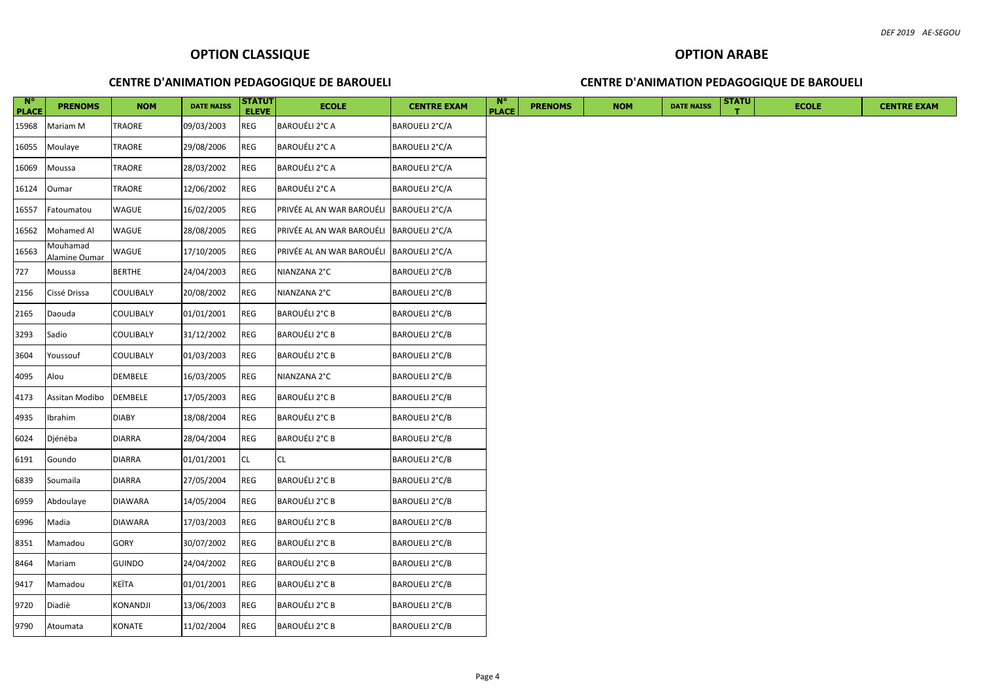| $N^{\circ}$<br><b>PLACE</b> | <b>PRENOMS</b>            | <b>NOM</b>       | <b>DATE NAISS</b> | <b>STATUT</b><br><b>ELEVE</b> | <b>ECOLE</b>                             | <b>CENTRE EXAM</b>    | $N^{\circ}$<br><b>PLACE</b> | <b>PRENOMS</b> | <b>NOM</b> | <b>DATE NAISS</b> | <b>STATU</b> | <b>ECOLE</b> | <b>CENTRE EXAM</b> |
|-----------------------------|---------------------------|------------------|-------------------|-------------------------------|------------------------------------------|-----------------------|-----------------------------|----------------|------------|-------------------|--------------|--------------|--------------------|
| 15968                       | Mariam M                  | <b>TRAORE</b>    | 09/03/2003        | REG                           | BAROUÉLI 2°C A                           | BAROUELI 2°C/A        |                             |                |            |                   |              |              |                    |
| 16055                       | Moulaye                   | <b>TRAORE</b>    | 29/08/2006        | REG                           | BAROUÉLI 2°C A                           | BAROUELI 2°C/A        |                             |                |            |                   |              |              |                    |
| 16069                       | Moussa                    | <b>TRAORE</b>    | 28/03/2002        | REG                           | BAROUÉLI 2°C A                           | BAROUELI 2°C/A        |                             |                |            |                   |              |              |                    |
| 16124                       | Oumar                     | TRAORE           | 12/06/2002        | <b>REG</b>                    | BAROUÉLI 2°C A                           | BAROUELI 2°C/A        |                             |                |            |                   |              |              |                    |
| 16557                       | Fatoumatou                | WAGUE            | 16/02/2005        | REG                           | PRIVÉE AL AN WAR BAROUÉLI BAROUELI 2°C/A |                       |                             |                |            |                   |              |              |                    |
| 16562                       | Mohamed Al                | WAGUE            | 28/08/2005        | <b>REG</b>                    | PRIVÉE AL AN WAR BAROUÉLI BAROUELI 2°C/A |                       |                             |                |            |                   |              |              |                    |
| 16563                       | Mouhamad<br>Alamine Oumar | WAGUE            | 17/10/2005        | REG                           | PRIVÉE AL AN WAR BAROUÉLI BAROUELI 2°C/A |                       |                             |                |            |                   |              |              |                    |
| 727                         | Moussa                    | <b>BERTHE</b>    | 24/04/2003        | REG                           | NIANZANA 2°C                             | BAROUELI 2°C/B        |                             |                |            |                   |              |              |                    |
| 2156                        | Cissé Drissa              | <b>COULIBALY</b> | 20/08/2002        | REG                           | NIANZANA 2°C                             | BAROUELI 2°C/B        |                             |                |            |                   |              |              |                    |
| 2165                        | Daouda                    | <b>COULIBALY</b> | 01/01/2001        | REG                           | BAROUÉLI 2°C B                           | BAROUELI 2°C/B        |                             |                |            |                   |              |              |                    |
| 3293                        | Sadio                     | <b>COULIBALY</b> | 31/12/2002        | REG                           | BAROUÉLI 2°C B                           | BAROUELI 2°C/B        |                             |                |            |                   |              |              |                    |
| 3604                        | Youssouf                  | <b>COULIBALY</b> | 01/03/2003        | REG                           | BAROUÉLI 2°C B                           | BAROUELI 2°C/B        |                             |                |            |                   |              |              |                    |
| 4095                        | Alou                      | DEMBELE          | 16/03/2005        | <b>REG</b>                    | NIANZANA 2°C                             | BAROUELI 2°C/B        |                             |                |            |                   |              |              |                    |
| 4173                        | Assitan Modibo            | <b>DEMBELE</b>   | 17/05/2003        | REG                           | BAROUÉLI 2°C B                           | BAROUELI 2°C/B        |                             |                |            |                   |              |              |                    |
| 4935                        | Ibrahim                   | <b>DIABY</b>     | 18/08/2004        | <b>REG</b>                    | <b>BAROUÉLI 2°C B</b>                    | BAROUELI 2°C/B        |                             |                |            |                   |              |              |                    |
| 6024                        | Djénéba                   | <b>DIARRA</b>    | 28/04/2004        | REG                           | BAROUÉLI 2°C B                           | <b>BAROUELI 2°C/B</b> |                             |                |            |                   |              |              |                    |
| 6191                        | Goundo                    | <b>DIARRA</b>    | 01/01/2001        | ${\sf CL}$                    | CL                                       | BAROUELI 2°C/B        |                             |                |            |                   |              |              |                    |
| 6839                        | Soumaila                  | <b>DIARRA</b>    | 27/05/2004        | <b>REG</b>                    | <b>BAROUÉLI 2°C B</b>                    | BAROUELI 2°C/B        |                             |                |            |                   |              |              |                    |
| 6959                        | Abdoulaye                 | <b>DIAWARA</b>   | 14/05/2004        | REG                           | BAROUÉLI 2°C B                           | BAROUELI 2°C/B        |                             |                |            |                   |              |              |                    |
| 6996                        | Madia                     | <b>DIAWARA</b>   | 17/03/2003        | <b>REG</b>                    | <b>BAROUÉLI 2°C B</b>                    | BAROUELI 2°C/B        |                             |                |            |                   |              |              |                    |
| 8351                        | Mamadou                   | GORY             | 30/07/2002        | REG                           | <b>BAROUÉLI 2°C B</b>                    | BAROUELI 2°C/B        |                             |                |            |                   |              |              |                    |
| 8464                        | Mariam                    | <b>GUINDO</b>    | 24/04/2002        | <b>REG</b>                    | BAROUÉLI 2°C B                           | BAROUELI 2°C/B        |                             |                |            |                   |              |              |                    |
| 9417                        | Mamadou                   | KEÏTA            | 01/01/2001        | REG                           | BAROUÉLI 2°C B                           | BAROUELI 2°C/B        |                             |                |            |                   |              |              |                    |
| 9720                        | Diadiè                    | <b>KONANDJI</b>  | 13/06/2003        | REG                           | BAROUÉLI 2°C B                           | BAROUELI 2°C/B        |                             |                |            |                   |              |              |                    |
| 9790                        | Atoumata                  | <b>KONATE</b>    | 11/02/2004        | <b>REG</b>                    | BAROUÉLI 2°C B                           | BAROUELI 2°C/B        |                             |                |            |                   |              |              |                    |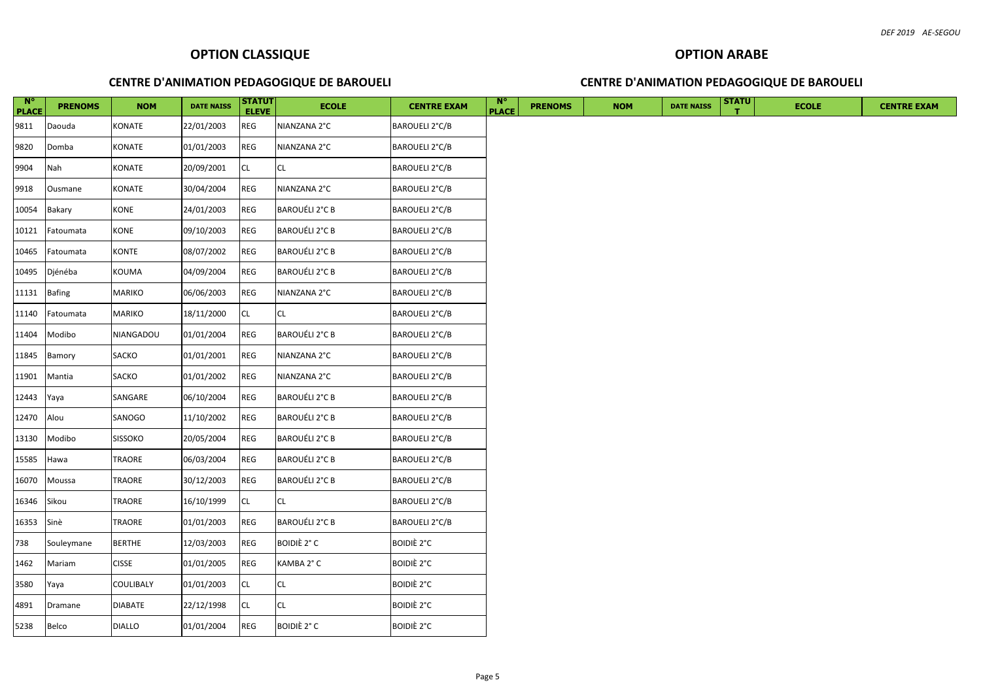| $N^{\circ}$<br><b>PLACE</b> | <b>PRENOMS</b> | <b>NOM</b>     | <b>DATE NAISS</b> | <b>STATUT</b><br><b>ELEVE</b> | <b>ECOLE</b>          | <b>CENTRE EXAM</b>    | - M°<br><b>PLACE</b> | <b>PRENOMS</b> | <b>NOM</b> | <b>DATE NAISS</b> | <b>STATU</b> | <b>ECOLE</b> | <b>CENTRE EXAM</b> |
|-----------------------------|----------------|----------------|-------------------|-------------------------------|-----------------------|-----------------------|----------------------|----------------|------------|-------------------|--------------|--------------|--------------------|
| 9811                        | Daouda         | KONATE         | 22/01/2003        | <b>REG</b>                    | NIANZANA 2°C          | BAROUELI 2°C/B        |                      |                |            |                   |              |              |                    |
| 9820                        | Domba          | KONATE         | 01/01/2003        | <b>REG</b>                    | NIANZANA 2°C          | <b>BAROUELI 2°C/B</b> |                      |                |            |                   |              |              |                    |
| 9904                        | Nah            | KONATE         | 20/09/2001        | <b>CL</b>                     | CL.                   | BAROUELI 2°C/B        |                      |                |            |                   |              |              |                    |
| 9918                        | Ousmane        | KONATE         | 30/04/2004        | REG                           | NIANZANA 2°C          | BAROUELI 2°C/B        |                      |                |            |                   |              |              |                    |
| 10054                       | Bakary         | <b>KONE</b>    | 24/01/2003        | $\mathsf{REG}$                | BAROUÉLI 2°C B        | BAROUELI 2°C/B        |                      |                |            |                   |              |              |                    |
| 10121                       | Fatoumata      | KONE           | 09/10/2003        | <b>REG</b>                    | BAROUÉLI 2°C B        | BAROUELI 2°C/B        |                      |                |            |                   |              |              |                    |
| 10465                       | Fatoumata      | KONTE          | 08/07/2002        | <b>REG</b>                    | BAROUÉLI 2°C B        | <b>BAROUELI 2°C/B</b> |                      |                |            |                   |              |              |                    |
| 10495                       | Djénéba        | KOUMA          | 04/09/2004        | REG                           | <b>BAROUÉLI 2°C B</b> | BAROUELI 2°C/B        |                      |                |            |                   |              |              |                    |
| 11131                       | <b>Bafing</b>  | <b>MARIKO</b>  | 06/06/2003        | REG                           | NIANZANA 2°C          | BAROUELI 2°C/B        |                      |                |            |                   |              |              |                    |
| 11140                       | Fatoumata      | MARIKO         | 18/11/2000        | CL                            | <b>CL</b>             | BAROUELI 2°C/B        |                      |                |            |                   |              |              |                    |
| 11404                       | Modibo         | NIANGADOU      | 01/01/2004        | REG                           | BAROUÉLI 2°C B        | <b>BAROUELI 2°C/B</b> |                      |                |            |                   |              |              |                    |
| 11845                       | Bamory         | SACKO          | 01/01/2001        | <b>REG</b>                    | NIANZANA 2°C          | BAROUELI 2°C/B        |                      |                |            |                   |              |              |                    |
| 11901                       | Mantia         | SACKO          | 01/01/2002        | <b>REG</b>                    | NIANZANA 2°C          | BAROUELI 2°C/B        |                      |                |            |                   |              |              |                    |
| 12443                       | Yaya           | SANGARE        | 06/10/2004        | <b>REG</b>                    | BAROUÉLI 2°C B        | BAROUELI 2°C/B        |                      |                |            |                   |              |              |                    |
| 12470                       | Alou           | SANOGO         | 11/10/2002        | <b>REG</b>                    | BAROUÉLI 2°C B        | BAROUELI 2°C/B        |                      |                |            |                   |              |              |                    |
| 13130                       | Modibo         | <b>SISSOKO</b> | 20/05/2004        | REG                           | <b>BAROUÉLI 2°C B</b> | <b>BAROUELI 2°C/B</b> |                      |                |            |                   |              |              |                    |
| 15585                       | Hawa           | TRAORE         | 06/03/2004        | <b>REG</b>                    | <b>BAROUÉLI 2°C B</b> | BAROUELI 2°C/B        |                      |                |            |                   |              |              |                    |
| 16070                       | Moussa         | TRAORE         | 30/12/2003        | <b>REG</b>                    | <b>BAROUÉLI 2°C B</b> | BAROUELI 2°C/B        |                      |                |            |                   |              |              |                    |
| 16346                       | Sikou          | TRAORE         | 16/10/1999        | <b>CL</b>                     | <b>CL</b>             | <b>BAROUELI 2°C/B</b> |                      |                |            |                   |              |              |                    |
| 16353                       | Sinè           | TRAORE         | 01/01/2003        | <b>REG</b>                    | <b>BAROUÉLI 2°C B</b> | <b>BAROUELI 2°C/B</b> |                      |                |            |                   |              |              |                    |
| 738                         | Souleymane     | <b>BERTHE</b>  | 12/03/2003        | <b>REG</b>                    | BOIDIÈ 2° C           | <b>BOIDIÈ 2°C</b>     |                      |                |            |                   |              |              |                    |
| 1462                        | Mariam         | <b>CISSE</b>   | 01/01/2005        | REG                           | KAMBA 2° C            | <b>BOIDIÈ 2°C</b>     |                      |                |            |                   |              |              |                    |
| 3580                        | Yaya           | COULIBALY      | 01/01/2003        | <b>CL</b>                     | CL                    | <b>BOIDIÈ 2°C</b>     |                      |                |            |                   |              |              |                    |
| 4891                        | Dramane        | <b>DIABATE</b> | 22/12/1998        | <b>CL</b>                     | <b>CL</b>             | <b>BOIDIÈ 2°C</b>     |                      |                |            |                   |              |              |                    |
| 5238                        | Belco          | <b>DIALLO</b>  | 01/01/2004        | <b>REG</b>                    | BOIDIÈ 2° C           | <b>BOIDIÈ 2°C</b>     |                      |                |            |                   |              |              |                    |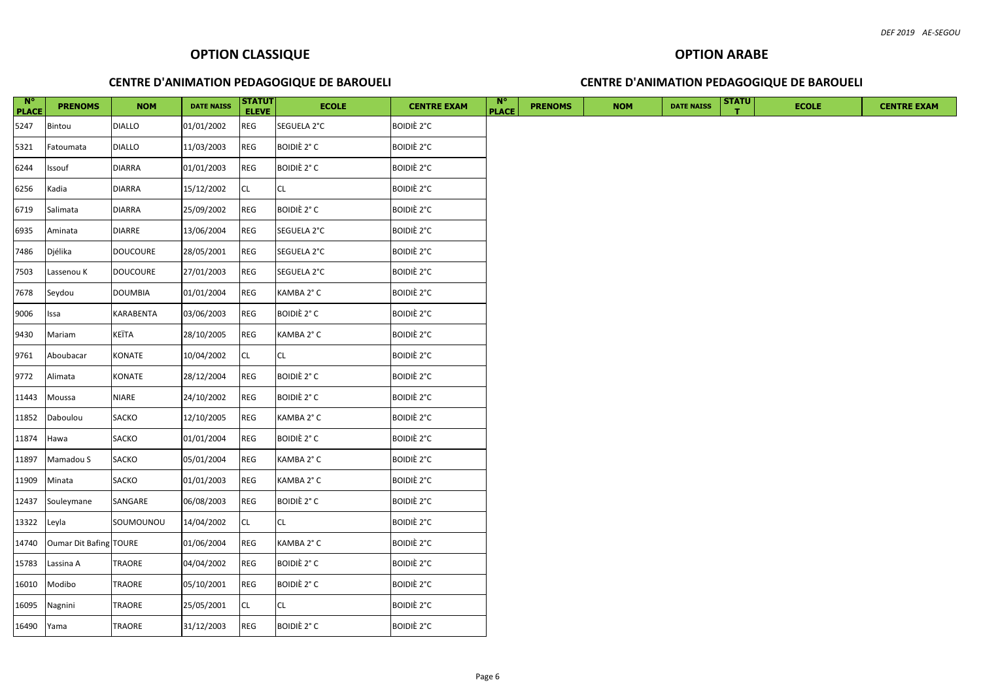| $\mathbf{N}^{\circ}$<br><b>PLACE</b> | <b>PRENOMS</b>         | <b>NOM</b>      | <b>DATE NAISS</b> | <b>STATUT</b><br><b>ELEVE</b> | <b>ECOLE</b>       | <b>CENTRE EXAM</b> | $N^{\circ}$<br><b>PLACE</b> | <b>PRENOMS</b> | <b>NOM</b> | <b>DATE NAISS</b> | <b>STATU</b> | <b>ECOLE</b> | <b>CENTRE EXAM</b> |
|--------------------------------------|------------------------|-----------------|-------------------|-------------------------------|--------------------|--------------------|-----------------------------|----------------|------------|-------------------|--------------|--------------|--------------------|
| 5247                                 | Bintou                 | <b>DIALLO</b>   | 01/01/2002        | REG                           | SEGUELA 2°C        | <b>BOIDIÈ 2°C</b>  |                             |                |            |                   |              |              |                    |
| 5321                                 | Fatoumata              | <b>DIALLO</b>   | 11/03/2003        | <b>REG</b>                    | <b>BOIDIÈ 2° C</b> | <b>BOIDIÈ 2°C</b>  |                             |                |            |                   |              |              |                    |
| 6244                                 | Issouf                 | <b>DIARRA</b>   | 01/01/2003        | REG                           | BOIDIÈ 2° C        | <b>BOIDIÈ 2°C</b>  |                             |                |            |                   |              |              |                    |
| 6256                                 | Kadia                  | <b>DIARRA</b>   | 15/12/2002        | CL                            | <b>CL</b>          | <b>BOIDIÈ 2°C</b>  |                             |                |            |                   |              |              |                    |
| 6719                                 | Salimata               | <b>DIARRA</b>   | 25/09/2002        | REG                           | BOIDIÈ 2° C        | <b>BOIDIÈ 2°C</b>  |                             |                |            |                   |              |              |                    |
| 6935                                 | Aminata                | <b>DIARRE</b>   | 13/06/2004        | REG                           | SEGUELA 2°C        | <b>BOIDIÈ 2°C</b>  |                             |                |            |                   |              |              |                    |
| 7486                                 | Djélika                | <b>DOUCOURE</b> | 28/05/2001        | <b>REG</b>                    | SEGUELA 2°C        | <b>BOIDIÈ 2°C</b>  |                             |                |            |                   |              |              |                    |
| 7503                                 | Lassenou K             | <b>DOUCOURE</b> | 27/01/2003        | REG                           | SEGUELA 2°C        | <b>BOIDIÈ 2°C</b>  |                             |                |            |                   |              |              |                    |
| 7678                                 | Seydou                 | <b>DOUMBIA</b>  | 01/01/2004        | REG                           | KAMBA 2° C         | <b>BOIDIÈ 2°C</b>  |                             |                |            |                   |              |              |                    |
| 9006                                 | Issa                   | KARABENTA       | 03/06/2003        | REG                           | <b>BOIDIÈ 2° C</b> | <b>BOIDIÈ 2°C</b>  |                             |                |            |                   |              |              |                    |
| 9430                                 | Mariam                 | KEÏTA           | 28/10/2005        | REG                           | KAMBA 2° C         | <b>BOIDIÈ 2°C</b>  |                             |                |            |                   |              |              |                    |
| 9761                                 | Aboubacar              | KONATE          | 10/04/2002        | CL                            | <b>CL</b>          | <b>BOIDIÈ 2°C</b>  |                             |                |            |                   |              |              |                    |
| 9772                                 | Alimata                | KONATE          | 28/12/2004        | REG                           | <b>BOIDIÈ 2° C</b> | <b>BOIDIÈ 2°C</b>  |                             |                |            |                   |              |              |                    |
| 11443                                | Moussa                 | <b>NIARE</b>    | 24/10/2002        | REG                           | BOIDIÈ 2° C        | <b>BOIDIÈ 2°C</b>  |                             |                |            |                   |              |              |                    |
| 11852                                | Daboulou               | SACKO           | 12/10/2005        | <b>REG</b>                    | KAMBA 2° C         | <b>BOIDIÈ 2°C</b>  |                             |                |            |                   |              |              |                    |
| 11874                                | Hawa                   | SACKO           | 01/01/2004        | REG                           | <b>BOIDIÈ 2° C</b> | <b>BOIDIÈ 2°C</b>  |                             |                |            |                   |              |              |                    |
| 11897                                | Mamadou S              | SACKO           | 05/01/2004        | REG                           | KAMBA 2° C         | <b>BOIDIÈ 2°C</b>  |                             |                |            |                   |              |              |                    |
| 11909                                | Minata                 | SACKO           | 01/01/2003        | REG                           | KAMBA 2° C         | <b>BOIDIÈ 2°C</b>  |                             |                |            |                   |              |              |                    |
| 12437                                | Souleymane             | SANGARE         | 06/08/2003        | REG                           | <b>BOIDIÈ 2° C</b> | <b>BOIDIÈ 2°C</b>  |                             |                |            |                   |              |              |                    |
| 13322                                | Leyla                  | SOUMOUNOU       | 14/04/2002        | CL                            | <b>CL</b>          | <b>BOIDIÈ 2°C</b>  |                             |                |            |                   |              |              |                    |
| 14740                                | Oumar Dit Bafing TOURE |                 | 01/06/2004        | <b>REG</b>                    | KAMBA 2°C          | <b>BOIDIÈ 2°C</b>  |                             |                |            |                   |              |              |                    |
| 15783                                | Lassina A              | TRAORE          | 04/04/2002        | <b>REG</b>                    | BOIDIÈ 2° C        | <b>BOIDIÈ 2°C</b>  |                             |                |            |                   |              |              |                    |
| 16010                                | Modibo                 | TRAORE          | 05/10/2001        | <b>REG</b>                    | BOIDIÈ 2° C        | <b>BOIDIÈ 2°C</b>  |                             |                |            |                   |              |              |                    |
| 16095                                | Nagnini                | TRAORE          | 25/05/2001        | CL                            | <b>CL</b>          | <b>BOIDIÈ 2°C</b>  |                             |                |            |                   |              |              |                    |
| 16490 Yama                           |                        | TRAORE          | 31/12/2003        | <b>REG</b>                    | BOIDIÈ 2° C        | <b>BOIDIÈ 2°C</b>  |                             |                |            |                   |              |              |                    |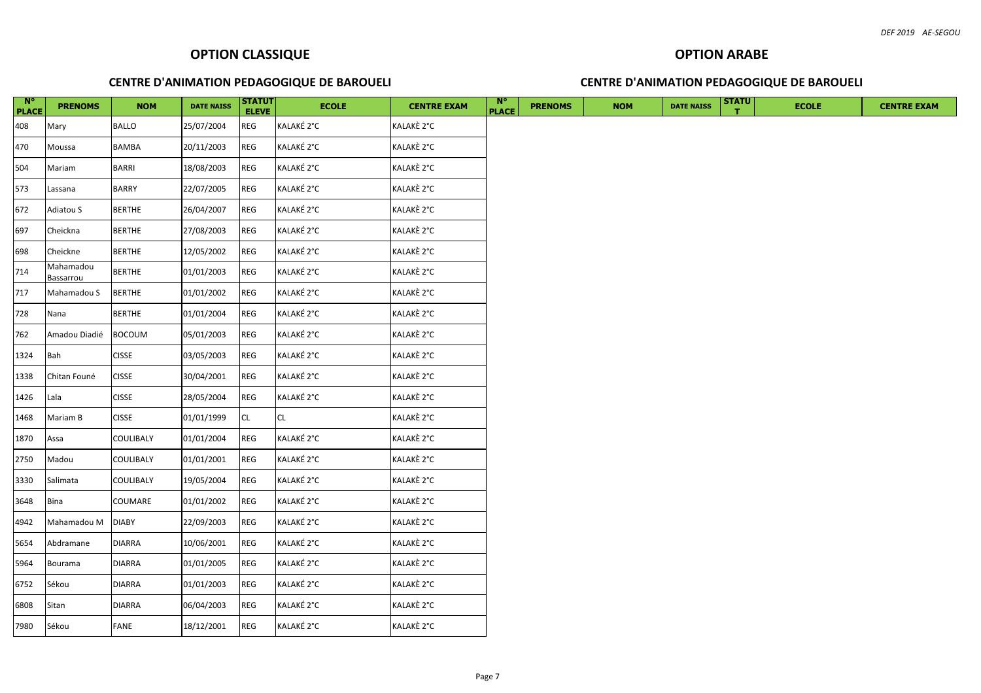| N°<br><b>PLACE</b> | <b>PRENOMS</b>         | <b>NOM</b>    | <b>DATE NAISS</b> | <b>STATUT</b><br><b>ELEVE</b> | <b>ECOLE</b> | <b>CENTRE EXAM</b> | N <sub>c</sub><br><b>PLACE</b> | <b>PRENOMS</b> | <b>NOM</b> | <b>DATE NAISS</b> | <b>STATU</b> | <b>ECOLE</b> | <b>CENTRE EXAM</b> |
|--------------------|------------------------|---------------|-------------------|-------------------------------|--------------|--------------------|--------------------------------|----------------|------------|-------------------|--------------|--------------|--------------------|
| 408                | Mary                   | <b>BALLO</b>  | 25/07/2004        | <b>REG</b>                    | KALAKÉ 2°C   | KALAKÈ 2°C         |                                |                |            |                   |              |              |                    |
| 470                | Moussa                 | <b>BAMBA</b>  | 20/11/2003        | REG                           | KALAKÉ 2°C   | KALAKÈ 2°C         |                                |                |            |                   |              |              |                    |
| 504                | Mariam                 | <b>BARRI</b>  | 18/08/2003        | <b>REG</b>                    | KALAKÉ 2°C   | KALAKÈ 2°C         |                                |                |            |                   |              |              |                    |
| 573                | Lassana                | <b>BARRY</b>  | 22/07/2005        | REG                           | KALAKÉ 2°C   | KALAKÈ 2°C         |                                |                |            |                   |              |              |                    |
| 672                | Adiatou S              | <b>BERTHE</b> | 26/04/2007        | REG                           | KALAKÉ 2°C   | KALAKÈ 2°C         |                                |                |            |                   |              |              |                    |
| 697                | Cheickna               | <b>BERTHE</b> | 27/08/2003        | <b>REG</b>                    | KALAKÉ 2°C   | KALAKÈ 2°C         |                                |                |            |                   |              |              |                    |
| 698                | Cheickne               | <b>BERTHE</b> | 12/05/2002        | REG                           | KALAKÉ 2°C   | KALAKÈ 2°C         |                                |                |            |                   |              |              |                    |
| 714                | Mahamadou<br>Bassarrou | <b>BERTHE</b> | 01/01/2003        | REG                           | KALAKÉ 2°C   | KALAKÈ 2°C         |                                |                |            |                   |              |              |                    |
| 717                | Mahamadou S            | <b>BERTHE</b> | 01/01/2002        | <b>REG</b>                    | KALAKÉ 2°C   | KALAKÈ 2°C         |                                |                |            |                   |              |              |                    |
| 728                | Nana                   | <b>BERTHE</b> | 01/01/2004        | <b>REG</b>                    | KALAKÉ 2°C   | KALAKÈ 2°C         |                                |                |            |                   |              |              |                    |
| 762                | Amadou Diadié          | <b>BOCOUM</b> | 05/01/2003        | REG                           | KALAKÉ 2°C   | KALAKÈ 2°C         |                                |                |            |                   |              |              |                    |
| 1324               | Bah                    | <b>CISSE</b>  | 03/05/2003        | <b>REG</b>                    | KALAKÉ 2°C   | KALAKÈ 2°C         |                                |                |            |                   |              |              |                    |
| 1338               | Chitan Founé           | <b>CISSE</b>  | 30/04/2001        | <b>REG</b>                    | KALAKÉ 2°C   | KALAKÈ 2°C         |                                |                |            |                   |              |              |                    |
| 1426               | Lala                   | <b>CISSE</b>  | 28/05/2004        | <b>REG</b>                    | KALAKÉ 2°C   | KALAKÈ 2°C         |                                |                |            |                   |              |              |                    |
| 1468               | Mariam B               | <b>CISSE</b>  | 01/01/1999        | CL                            | <b>CL</b>    | KALAKÈ 2°C         |                                |                |            |                   |              |              |                    |
| 1870               | Assa                   | COULIBALY     | 01/01/2004        | <b>REG</b>                    | KALAKÉ 2°C   | KALAKÈ 2°C         |                                |                |            |                   |              |              |                    |
| 2750               | Madou                  | COULIBALY     | 01/01/2001        | <b>REG</b>                    | KALAKÉ 2°C   | KALAKÈ 2°C         |                                |                |            |                   |              |              |                    |
| 3330               | Salimata               | COULIBALY     | 19/05/2004        | REG                           | KALAKÉ 2°C   | KALAKÈ 2°C         |                                |                |            |                   |              |              |                    |
| 3648               | Bina                   | COUMARE       | 01/01/2002        | REG                           | KALAKÉ 2°C   | KALAKÈ 2°C         |                                |                |            |                   |              |              |                    |
| 4942               | Mahamadou M            | <b>DIABY</b>  | 22/09/2003        | <b>REG</b>                    | KALAKÉ 2°C   | KALAKÈ 2°C         |                                |                |            |                   |              |              |                    |
| 5654               | Abdramane              | <b>DIARRA</b> | 10/06/2001        | REG                           | KALAKÉ 2°C   | KALAKÈ 2°C         |                                |                |            |                   |              |              |                    |
| 5964               | Bourama                | <b>DIARRA</b> | 01/01/2005        | REG                           | KALAKÉ 2°C   | KALAKÈ 2°C         |                                |                |            |                   |              |              |                    |
| 6752               | Sékou                  | DIARRA        | 01/01/2003        | REG                           | KALAKÉ 2°C   | KALAKÈ 2°C         |                                |                |            |                   |              |              |                    |
| 6808               | Sitan                  | <b>DIARRA</b> | 06/04/2003        | <b>REG</b>                    | KALAKÉ 2°C   | KALAKÈ 2°C         |                                |                |            |                   |              |              |                    |
| 7980               | Sékou                  | FANE          | 18/12/2001        | REG                           | KALAKÉ 2°C   | KALAKÈ 2°C         |                                |                |            |                   |              |              |                    |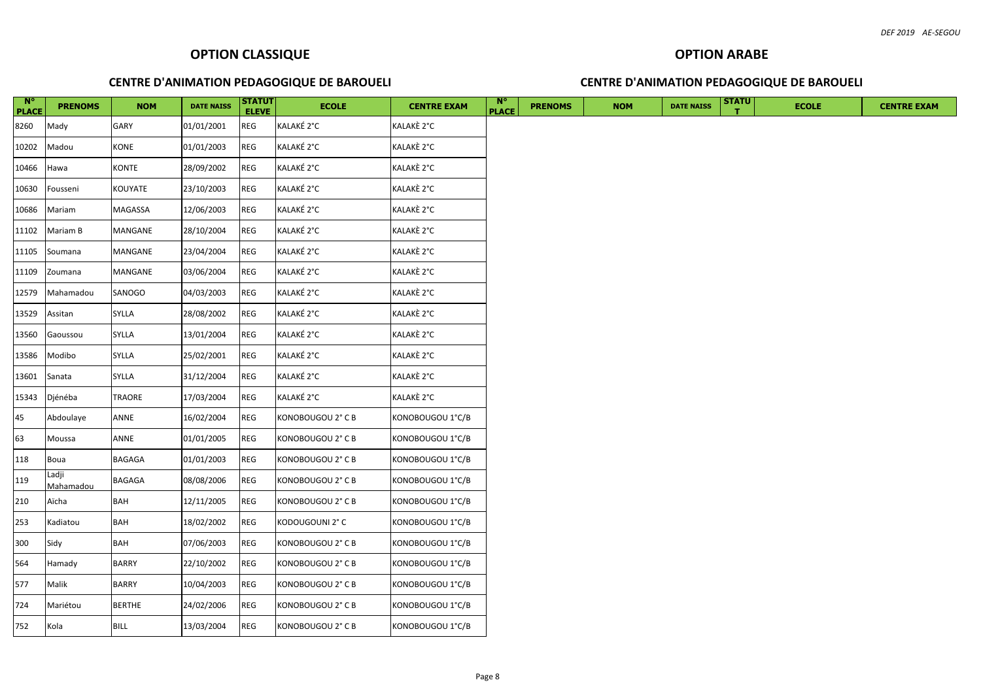| $\overline{\phantom{a}}$ N°<br><b>PLACE</b> | <b>PRENOMS</b>     | <b>NOM</b>    | <b>DATE NAISS</b> | <b>STATUT</b><br><b>ELEVE</b> | <b>ECOLE</b>      | <b>CENTRE EXAM</b> | $\mathbb{N}^{\circ}$<br><b>PLACE</b> | <b>PRENOMS</b> | <b>NOM</b> | <b>DATE NAISS</b> | <b>STATU</b> | <b>ECOLE</b> | <b>CENTRE EXAM</b> |
|---------------------------------------------|--------------------|---------------|-------------------|-------------------------------|-------------------|--------------------|--------------------------------------|----------------|------------|-------------------|--------------|--------------|--------------------|
| 8260                                        | Mady               | GARY          | 01/01/2001        | <b>REG</b>                    | KALAKÉ 2°C        | KALAKÈ 2°C         |                                      |                |            |                   |              |              |                    |
| 10202                                       | Madou              | <b>KONE</b>   | 01/01/2003        | REG                           | KALAKÉ 2°C        | KALAKÈ 2°C         |                                      |                |            |                   |              |              |                    |
| 10466                                       | Hawa               | KONTE         | 28/09/2002        | REG                           | KALAKÉ 2°C        | KALAKÈ 2°C         |                                      |                |            |                   |              |              |                    |
| 10630                                       | Fousseni           | KOUYATE       | 23/10/2003        | <b>REG</b>                    | KALAKÉ 2°C        | KALAKÈ 2°C         |                                      |                |            |                   |              |              |                    |
| 10686                                       | Mariam             | MAGASSA       | 12/06/2003        | REG                           | KALAKÉ 2°C        | KALAKÈ 2°C         |                                      |                |            |                   |              |              |                    |
| 11102                                       | Mariam B           | MANGANE       | 28/10/2004        | <b>REG</b>                    | KALAKÉ 2°C        | KALAKÈ 2°C         |                                      |                |            |                   |              |              |                    |
| 11105                                       | Soumana            | MANGANE       | 23/04/2004        | REG                           | KALAKÉ 2°C        | KALAKÈ 2°C         |                                      |                |            |                   |              |              |                    |
| 11109                                       | Zoumana            | MANGANE       | 03/06/2004        | REG                           | KALAKÉ 2°C        | KALAKÈ 2°C         |                                      |                |            |                   |              |              |                    |
| 12579                                       | Mahamadou          | SANOGO        | 04/03/2003        | REG                           | KALAKÉ 2°C        | KALAKÈ 2°C         |                                      |                |            |                   |              |              |                    |
| 13529                                       | Assitan            | SYLLA         | 28/08/2002        | REG                           | KALAKÉ 2°C        | KALAKÈ 2°C         |                                      |                |            |                   |              |              |                    |
| 13560                                       | Gaoussou           | SYLLA         | 13/01/2004        | REG                           | KALAKÉ 2°C        | KALAKÈ 2°C         |                                      |                |            |                   |              |              |                    |
| 13586                                       | Modibo             | SYLLA         | 25/02/2001        | REG                           | KALAKÉ 2°C        | KALAKÈ 2°C         |                                      |                |            |                   |              |              |                    |
| 13601                                       | Sanata             | SYLLA         | 31/12/2004        | REG                           | KALAKÉ 2°C        | KALAKÈ 2°C         |                                      |                |            |                   |              |              |                    |
| 15343                                       | Djénéba            | TRAORE        | 17/03/2004        | REG                           | KALAKÉ 2°C        | KALAKÈ 2°C         |                                      |                |            |                   |              |              |                    |
| 45                                          | Abdoulaye          | ANNE          | 16/02/2004        | REG                           | KONOBOUGOU 2° C B | KONOBOUGOU 1°C/B   |                                      |                |            |                   |              |              |                    |
| 63                                          | Moussa             | ANNE          | 01/01/2005        | REG                           | KONOBOUGOU 2° C B | KONOBOUGOU 1°C/B   |                                      |                |            |                   |              |              |                    |
| 118                                         | Boua               | BAGAGA        | 01/01/2003        | REG                           | KONOBOUGOU 2° C B | KONOBOUGOU 1°C/B   |                                      |                |            |                   |              |              |                    |
| 119                                         | Ladji<br>Mahamadou | <b>BAGAGA</b> | 08/08/2006        | REG                           | KONOBOUGOU 2° C B | KONOBOUGOU 1°C/B   |                                      |                |            |                   |              |              |                    |
| 210                                         | Aïcha              | BAH           | 12/11/2005        | REG                           | KONOBOUGOU 2° C B | KONOBOUGOU 1°C/B   |                                      |                |            |                   |              |              |                    |
| 253                                         | Kadiatou           | BAH           | 18/02/2002        | REG                           | KODOUGOUNI 2° C   | KONOBOUGOU 1°C/B   |                                      |                |            |                   |              |              |                    |
| 300                                         | Sidy               | BAH           | 07/06/2003        | REG                           | KONOBOUGOU 2° C B | KONOBOUGOU 1°C/B   |                                      |                |            |                   |              |              |                    |
| 564                                         | Hamady             | <b>BARRY</b>  | 22/10/2002        | <b>REG</b>                    | KONOBOUGOU 2° C B | KONOBOUGOU 1°C/B   |                                      |                |            |                   |              |              |                    |
| 577                                         | Malik              | <b>BARRY</b>  | 10/04/2003        | REG                           | KONOBOUGOU 2° C B | KONOBOUGOU 1°C/B   |                                      |                |            |                   |              |              |                    |
| 724                                         | Mariétou           | <b>BERTHE</b> | 24/02/2006        | REG                           | KONOBOUGOU 2° C B | KONOBOUGOU 1°C/B   |                                      |                |            |                   |              |              |                    |
| 752                                         | Kola               | <b>BILL</b>   | 13/03/2004        | <b>REG</b>                    | KONOBOUGOU 2° C B | KONOBOUGOU 1°C/B   |                                      |                |            |                   |              |              |                    |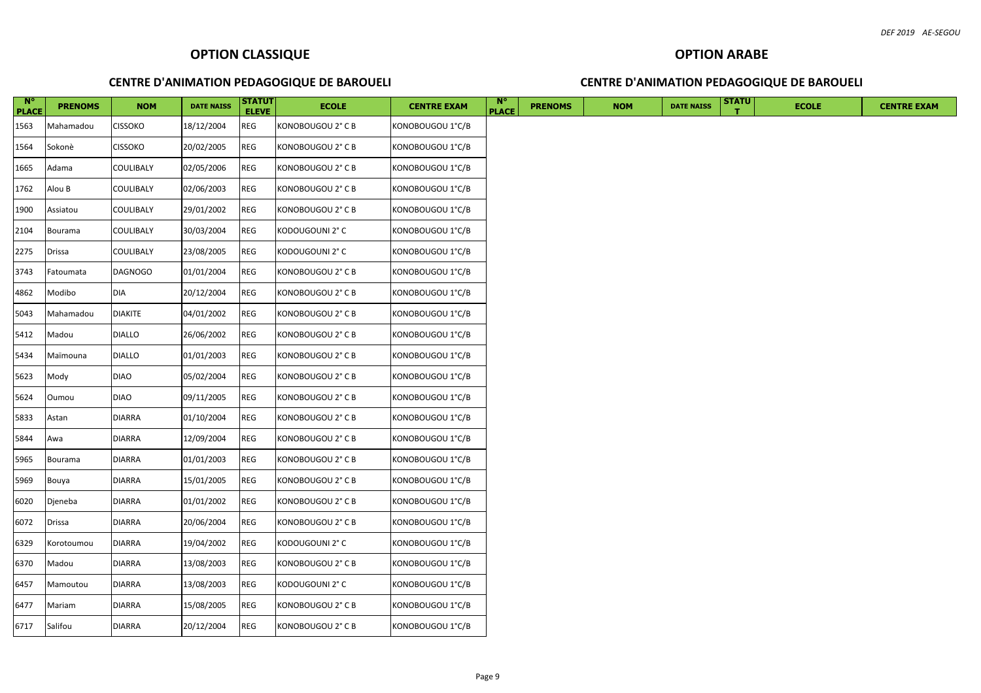| $N^{\circ}$<br><b>PLACE</b> | <b>PRENOMS</b> | <b>NOM</b>       | <b>DATE NAISS</b> | STATUT<br><b>ELEVE</b> | <b>ECOLE</b>      | <b>CENTRE EXAM</b> | -N°<br><b>PLACE</b> | <b>PRENOMS</b> | <b>NOM</b> | <b>DATE NAISS</b> | <b>STATU</b> | <b>ECOLE</b> | <b>CENTRE EXAM</b> |
|-----------------------------|----------------|------------------|-------------------|------------------------|-------------------|--------------------|---------------------|----------------|------------|-------------------|--------------|--------------|--------------------|
| 1563                        | Mahamadou      | <b>CISSOKO</b>   | 18/12/2004        | REG                    | KONOBOUGOU 2° C B | KONOBOUGOU 1°C/B   |                     |                |            |                   |              |              |                    |
| 1564                        | Sokonè         | <b>CISSOKO</b>   | 20/02/2005        | <b>REG</b>             | KONOBOUGOU 2° C B | KONOBOUGOU 1°C/B   |                     |                |            |                   |              |              |                    |
| 1665                        | Adama          | COULIBALY        | 02/05/2006        | <b>REG</b>             | KONOBOUGOU 2° C B | KONOBOUGOU 1°C/B   |                     |                |            |                   |              |              |                    |
| 1762                        | Alou B         | <b>COULIBALY</b> | 02/06/2003        | <b>REG</b>             | KONOBOUGOU 2° C B | KONOBOUGOU 1°C/B   |                     |                |            |                   |              |              |                    |
| 1900                        | Assiatou       | COULIBALY        | 29/01/2002        | <b>REG</b>             | KONOBOUGOU 2° C B | KONOBOUGOU 1°C/B   |                     |                |            |                   |              |              |                    |
| 2104                        | Bourama        | COULIBALY        | 30/03/2004        | <b>REG</b>             | KODOUGOUNI 2° C   | KONOBOUGOU 1°C/B   |                     |                |            |                   |              |              |                    |
| 2275                        | <b>Drissa</b>  | COULIBALY        | 23/08/2005        | <b>REG</b>             | KODOUGOUNI 2° C   | KONOBOUGOU 1°C/B   |                     |                |            |                   |              |              |                    |
| 3743                        | Fatoumata      | <b>DAGNOGO</b>   | 01/01/2004        | <b>REG</b>             | KONOBOUGOU 2° C B | KONOBOUGOU 1°C/B   |                     |                |            |                   |              |              |                    |
| 4862                        | Modibo         | DIA              | 20/12/2004        | REG                    | KONOBOUGOU 2° C B | KONOBOUGOU 1°C/B   |                     |                |            |                   |              |              |                    |
| 5043                        | Mahamadou      | <b>DIAKITE</b>   | 04/01/2002        | REG                    | KONOBOUGOU 2° C B | KONOBOUGOU 1°C/B   |                     |                |            |                   |              |              |                    |
| 5412                        | Madou          | <b>DIALLO</b>    | 26/06/2002        | REG                    | KONOBOUGOU 2° C B | KONOBOUGOU 1°C/B   |                     |                |            |                   |              |              |                    |
| 5434                        | Maïmouna       | <b>DIALLO</b>    | 01/01/2003        | <b>REG</b>             | KONOBOUGOU 2° C B | KONOBOUGOU 1°C/B   |                     |                |            |                   |              |              |                    |
| 5623                        | Mody           | <b>DIAO</b>      | 05/02/2004        | REG                    | KONOBOUGOU 2° C B | KONOBOUGOU 1°C/B   |                     |                |            |                   |              |              |                    |
| 5624                        | Oumou          | <b>DIAO</b>      | 09/11/2005        | <b>REG</b>             | KONOBOUGOU 2° C B | KONOBOUGOU 1°C/B   |                     |                |            |                   |              |              |                    |
| 5833                        | Astan          | <b>DIARRA</b>    | 01/10/2004        | <b>REG</b>             | KONOBOUGOU 2° C B | KONOBOUGOU 1°C/B   |                     |                |            |                   |              |              |                    |
| 5844                        | Awa            | <b>DIARRA</b>    | 12/09/2004        | <b>REG</b>             | KONOBOUGOU 2° C B | KONOBOUGOU 1°C/B   |                     |                |            |                   |              |              |                    |
| 5965                        | Bourama        | <b>DIARRA</b>    | 01/01/2003        | REG                    | KONOBOUGOU 2° C B | KONOBOUGOU 1°C/B   |                     |                |            |                   |              |              |                    |
| 5969                        | Bouya          | <b>DIARRA</b>    | 15/01/2005        | REG                    | KONOBOUGOU 2° C B | KONOBOUGOU 1°C/B   |                     |                |            |                   |              |              |                    |
| 6020                        | Djeneba        | <b>DIARRA</b>    | 01/01/2002        | REG                    | KONOBOUGOU 2° C B | KONOBOUGOU 1°C/B   |                     |                |            |                   |              |              |                    |
| 6072                        | <b>Drissa</b>  | <b>DIARRA</b>    | 20/06/2004        | <b>REG</b>             | KONOBOUGOU 2° C B | KONOBOUGOU 1°C/B   |                     |                |            |                   |              |              |                    |
| 6329                        | Korotoumou     | <b>DIARRA</b>    | 19/04/2002        | <b>REG</b>             | KODOUGOUNI 2° C   | KONOBOUGOU 1°C/B   |                     |                |            |                   |              |              |                    |
| 6370                        | Madou          | <b>DIARRA</b>    | 13/08/2003        | REG                    | KONOBOUGOU 2° C B | KONOBOUGOU 1°C/B   |                     |                |            |                   |              |              |                    |
| 6457                        | Mamoutou       | <b>DIARRA</b>    | 13/08/2003        | <b>REG</b>             | KODOUGOUNI 2° C   | KONOBOUGOU 1°C/B   |                     |                |            |                   |              |              |                    |
| 6477                        | Mariam         | <b>DIARRA</b>    | 15/08/2005        | <b>REG</b>             | KONOBOUGOU 2° C B | KONOBOUGOU 1°C/B   |                     |                |            |                   |              |              |                    |
| 6717                        | Salifou        | <b>DIARRA</b>    | 20/12/2004        | <b>REG</b>             | KONOBOUGOU 2° C B | KONOBOUGOU 1°C/B   |                     |                |            |                   |              |              |                    |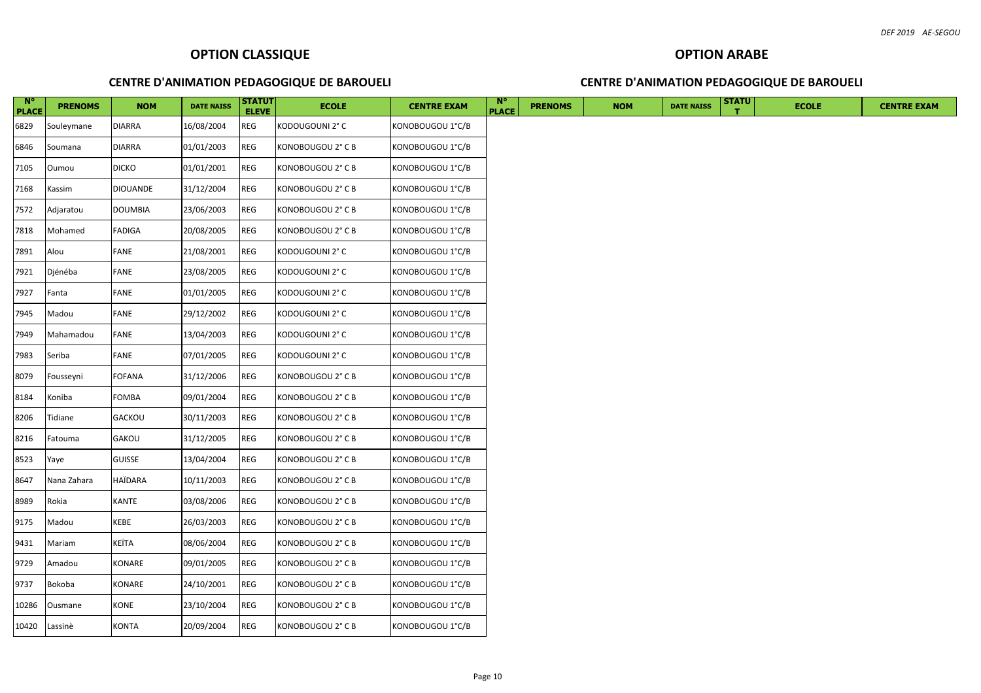| $N^{\circ}$<br><b>PLACE</b> | <b>PRENOMS</b> | <b>NOM</b>      | <b>DATE NAISS</b> | <b>STATUT</b><br><b>ELEVE</b> | <b>ECOLE</b>      | <b>CENTRE EXAM</b> | $\mathbf{N}^{\circ}$<br><b>PLACE</b> | <b>PRENOMS</b> | <b>NOM</b> | <b>DATE NAISS</b> | <b>STATU</b> | <b>ECOLE</b> | <b>CENTRE EXAM</b> |
|-----------------------------|----------------|-----------------|-------------------|-------------------------------|-------------------|--------------------|--------------------------------------|----------------|------------|-------------------|--------------|--------------|--------------------|
| 6829                        | Souleymane     | <b>DIARRA</b>   | 16/08/2004        | <b>REG</b>                    | KODOUGOUNI 2° C   | KONOBOUGOU 1°C/B   |                                      |                |            |                   |              |              |                    |
| 6846                        | Soumana        | <b>DIARRA</b>   | 01/01/2003        | <b>REG</b>                    | KONOBOUGOU 2° C B | KONOBOUGOU 1°C/B   |                                      |                |            |                   |              |              |                    |
| 7105                        | Oumou          | <b>DICKO</b>    | 01/01/2001        | REG                           | KONOBOUGOU 2° C B | KONOBOUGOU 1°C/B   |                                      |                |            |                   |              |              |                    |
| 7168                        | Kassim         | <b>DIOUANDE</b> | 31/12/2004        | REG                           | KONOBOUGOU 2° C B | KONOBOUGOU 1°C/B   |                                      |                |            |                   |              |              |                    |
| 7572                        | Adjaratou      | <b>DOUMBIA</b>  | 23/06/2003        | REG                           | KONOBOUGOU 2° C B | KONOBOUGOU 1°C/B   |                                      |                |            |                   |              |              |                    |
| 7818                        | Mohamed        | <b>FADIGA</b>   | 20/08/2005        | <b>REG</b>                    | KONOBOUGOU 2° C B | KONOBOUGOU 1°C/B   |                                      |                |            |                   |              |              |                    |
| 7891                        | Alou           | FANE            | 21/08/2001        | <b>REG</b>                    | KODOUGOUNI 2° C   | KONOBOUGOU 1°C/B   |                                      |                |            |                   |              |              |                    |
| 7921                        | Djénéba        | FANE            | 23/08/2005        | <b>REG</b>                    | KODOUGOUNI 2° C   | KONOBOUGOU 1°C/B   |                                      |                |            |                   |              |              |                    |
| 7927                        | Fanta          | <b>FANE</b>     | 01/01/2005        | <b>REG</b>                    | KODOUGOUNI 2° C   | KONOBOUGOU 1°C/B   |                                      |                |            |                   |              |              |                    |
| 7945                        | Madou          | FANE            | 29/12/2002        | <b>REG</b>                    | KODOUGOUNI 2° C   | KONOBOUGOU 1°C/B   |                                      |                |            |                   |              |              |                    |
| 7949                        | Mahamadou      | <b>FANE</b>     | 13/04/2003        | REG                           | KODOUGOUNI 2° C   | KONOBOUGOU 1°C/B   |                                      |                |            |                   |              |              |                    |
| 7983                        | Seriba         | FANE            | 07/01/2005        | REG                           | KODOUGOUNI 2° C   | KONOBOUGOU 1°C/B   |                                      |                |            |                   |              |              |                    |
| 8079                        | Fousseyni      | <b>FOFANA</b>   | 31/12/2006        | <b>REG</b>                    | KONOBOUGOU 2° C B | KONOBOUGOU 1°C/B   |                                      |                |            |                   |              |              |                    |
| 8184                        | Koniba         | FOMBA           | 09/01/2004        | REG                           | KONOBOUGOU 2° C B | KONOBOUGOU 1°C/B   |                                      |                |            |                   |              |              |                    |
| 8206                        | Tidiane        | <b>GACKOU</b>   | 30/11/2003        | <b>REG</b>                    | KONOBOUGOU 2° C B | KONOBOUGOU 1°C/B   |                                      |                |            |                   |              |              |                    |
| 8216                        | Fatouma        | GAKOU           | 31/12/2005        | REG                           | KONOBOUGOU 2° C B | KONOBOUGOU 1°C/B   |                                      |                |            |                   |              |              |                    |
| 8523                        | Yaye           | <b>GUISSE</b>   | 13/04/2004        | <b>REG</b>                    | KONOBOUGOU 2° C B | KONOBOUGOU 1°C/B   |                                      |                |            |                   |              |              |                    |
| 8647                        | Nana Zahara    | <b>HAÏDARA</b>  | 10/11/2003        | REG                           | KONOBOUGOU 2° C B | KONOBOUGOU 1°C/B   |                                      |                |            |                   |              |              |                    |
| 8989                        | Rokia          | KANTE           | 03/08/2006        | REG                           | KONOBOUGOU 2° C B | KONOBOUGOU 1°C/B   |                                      |                |            |                   |              |              |                    |
| 9175                        | Madou          | KEBE            | 26/03/2003        | REG                           | KONOBOUGOU 2° C B | KONOBOUGOU 1°C/B   |                                      |                |            |                   |              |              |                    |
| 9431                        | Mariam         | KEÎTA           | 08/06/2004        | REG                           | KONOBOUGOU 2° C B | KONOBOUGOU 1°C/B   |                                      |                |            |                   |              |              |                    |
| 9729                        | Amadou         | KONARE          | 09/01/2005        | REG                           | KONOBOUGOU 2° C B | KONOBOUGOU 1°C/B   |                                      |                |            |                   |              |              |                    |
| 9737                        | Bokoba         | KONARE          | 24/10/2001        | <b>REG</b>                    | KONOBOUGOU 2° C B | KONOBOUGOU 1°C/B   |                                      |                |            |                   |              |              |                    |
| 10286                       | Ousmane        | KONE            | 23/10/2004        | <b>REG</b>                    | KONOBOUGOU 2° C B | KONOBOUGOU 1°C/B   |                                      |                |            |                   |              |              |                    |
|                             | 10420 Lassinè  | <b>KONTA</b>    | 20/09/2004        | REG                           | KONOBOUGOU 2° C B | KONOBOUGOU 1°C/B   |                                      |                |            |                   |              |              |                    |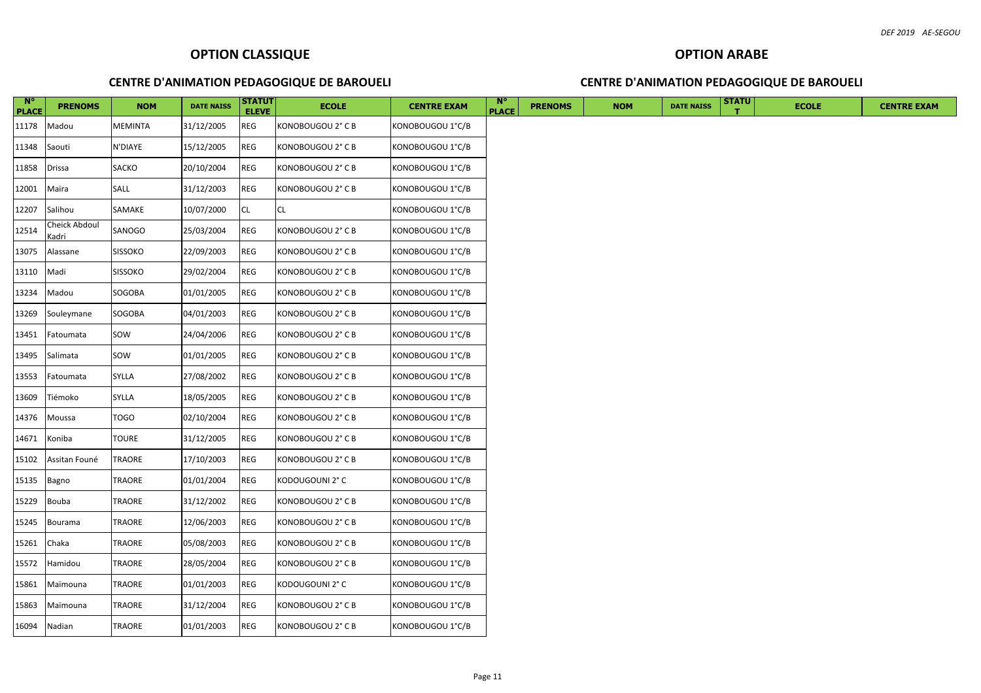| $N^{\circ}$<br><b>PLACE</b> | <b>PRENOMS</b>         | <b>NOM</b>     | <b>DATE NAISS</b> | <b>STATUT</b><br><b>ELEVE</b> | <b>ECOLE</b>      | <b>CENTRE EXAM</b> | $\mathbb{N}^{\circ}$<br><b>PLACE</b> | <b>PRENOMS</b> | <b>NOM</b> | <b>DATE NAISS</b> | <b>STATU</b> |
|-----------------------------|------------------------|----------------|-------------------|-------------------------------|-------------------|--------------------|--------------------------------------|----------------|------------|-------------------|--------------|
| 11178                       | Madou                  | MEMINTA        | 31/12/2005        | <b>REG</b>                    | KONOBOUGOU 2° C B | KONOBOUGOU 1°C/B   |                                      |                |            |                   |              |
| 11348                       | Saouti                 | N'DIAYE        | 15/12/2005        | <b>REG</b>                    | KONOBOUGOU 2° C B | KONOBOUGOU 1°C/B   |                                      |                |            |                   |              |
| 11858                       | Drissa                 | <b>SACKO</b>   | 20/10/2004        | <b>REG</b>                    | KONOBOUGOU 2° C B | KONOBOUGOU 1°C/B   |                                      |                |            |                   |              |
| 12001                       | Maïra                  | SALL           | 31/12/2003        | <b>REG</b>                    | KONOBOUGOU 2° C B | KONOBOUGOU 1°C/B   |                                      |                |            |                   |              |
| 12207                       | Salihou                | SAMAKE         | 10/07/2000        | <b>CL</b>                     | CL.               | KONOBOUGOU 1°C/B   |                                      |                |            |                   |              |
| 12514                       | Cheick Abdoul<br>Kadri | SANOGO         | 25/03/2004        | <b>REG</b>                    | KONOBOUGOU 2° C B | KONOBOUGOU 1°C/B   |                                      |                |            |                   |              |
| 13075                       | Alassane               | <b>SISSOKO</b> | 22/09/2003        | <b>REG</b>                    | KONOBOUGOU 2° C B | KONOBOUGOU 1°C/B   |                                      |                |            |                   |              |
| 13110                       | Madi                   | <b>SISSOKO</b> | 29/02/2004        | <b>REG</b>                    | KONOBOUGOU 2° C B | KONOBOUGOU 1°C/B   |                                      |                |            |                   |              |
| 13234                       | Madou                  | SOGOBA         | 01/01/2005        | <b>REG</b>                    | KONOBOUGOU 2° C B | KONOBOUGOU 1°C/B   |                                      |                |            |                   |              |
| 13269                       | Souleymane             | SOGOBA         | 04/01/2003        | REG                           | KONOBOUGOU 2° C B | KONOBOUGOU 1°C/B   |                                      |                |            |                   |              |
| 13451                       | Fatoumata              | SOW            | 24/04/2006        | REG                           | KONOBOUGOU 2° C B | KONOBOUGOU 1°C/B   |                                      |                |            |                   |              |
| 13495                       | Salimata               | SOW            | 01/01/2005        | REG                           | KONOBOUGOU 2° C B | KONOBOUGOU 1°C/B   |                                      |                |            |                   |              |
| 13553                       | Fatoumata              | <b>SYLLA</b>   | 27/08/2002        | <b>REG</b>                    | KONOBOUGOU 2° C B | KONOBOUGOU 1°C/B   |                                      |                |            |                   |              |
| 13609                       | Tiémoko                | <b>SYLLA</b>   | 18/05/2005        | <b>REG</b>                    | KONOBOUGOU 2° C B | KONOBOUGOU 1°C/B   |                                      |                |            |                   |              |
| 14376                       | Moussa                 | <b>TOGO</b>    | 02/10/2004        | <b>REG</b>                    | KONOBOUGOU 2° C B | KONOBOUGOU 1°C/B   |                                      |                |            |                   |              |
| 14671                       | Koniba                 | <b>TOURE</b>   | 31/12/2005        | <b>REG</b>                    | KONOBOUGOU 2° C B | KONOBOUGOU 1°C/B   |                                      |                |            |                   |              |
| 15102                       | Assitan Founé          | TRAORE         | 17/10/2003        | <b>REG</b>                    | KONOBOUGOU 2° C B | KONOBOUGOU 1°C/B   |                                      |                |            |                   |              |
| 15135                       | Bagno                  | TRAORE         | 01/01/2004        | REG                           | KODOUGOUNI 2° C   | KONOBOUGOU 1°C/B   |                                      |                |            |                   |              |
| 15229                       | Bouba                  | TRAORE         | 31/12/2002        | REG                           | KONOBOUGOU 2° C B | KONOBOUGOU 1°C/B   |                                      |                |            |                   |              |
| 15245                       | Bourama                | TRAORE         | 12/06/2003        | <b>REG</b>                    | KONOBOUGOU 2° C B | KONOBOUGOU 1°C/B   |                                      |                |            |                   |              |
| 15261                       | Chaka                  | TRAORE         | 05/08/2003        | <b>REG</b>                    | KONOBOUGOU 2° C B | KONOBOUGOU 1°C/B   |                                      |                |            |                   |              |
| 15572                       | Hamidou                | TRAORE         | 28/05/2004        | REG                           | KONOBOUGOU 2° C B | KONOBOUGOU 1°C/B   |                                      |                |            |                   |              |
| 15861                       | Maïmouna               | TRAORE         | 01/01/2003        | <b>REG</b>                    | KODOUGOUNI 2° C   | KONOBOUGOU 1°C/B   |                                      |                |            |                   |              |
| 15863                       | Maïmouna               | TRAORE         | 31/12/2004        | <b>REG</b>                    | KONOBOUGOU 2° C B | KONOBOUGOU 1°C/B   |                                      |                |            |                   |              |
|                             | 16094 Nadian           | TRAORE         | 01/01/2003        | <b>REG</b>                    | KONOBOUGOU 2° C B | KONOBOUGOU 1°C/B   |                                      |                |            |                   |              |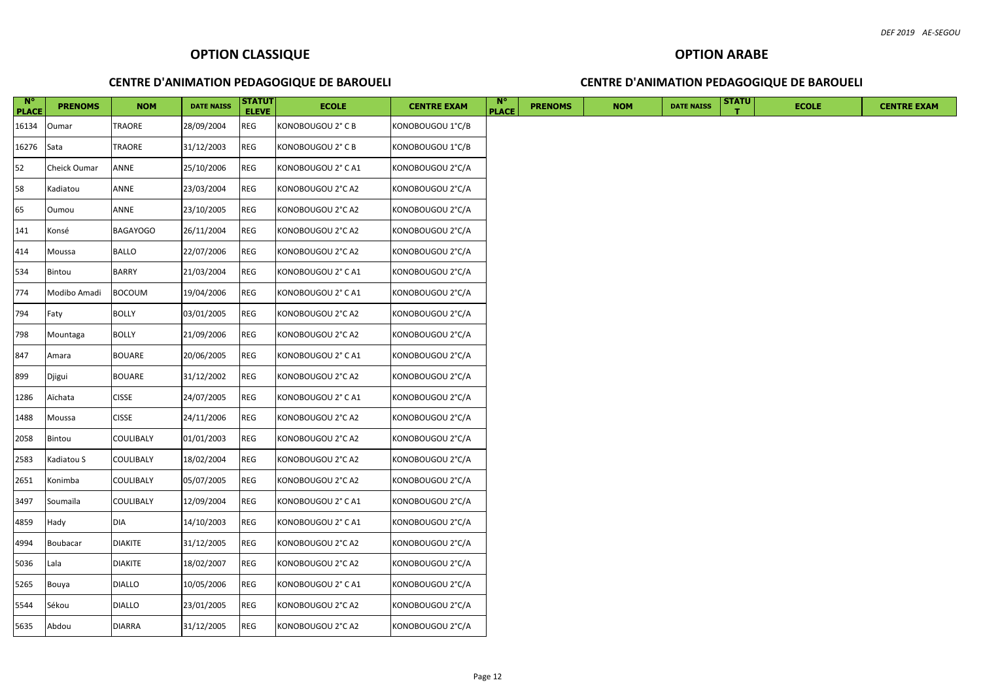| $N^{\circ}$<br><b>PLACE</b> | <b>PRENOMS</b> | <b>NOM</b>      | <b>DATE NAISS</b> | <b>STATUT</b><br><b>ELEVE</b> | <b>ECOLE</b>       | <b>CENTRE EXAM</b> | $\mathbf{N}^{\circ}$<br><b>PLACE</b> | <b>PRENOMS</b> | <b>NOM</b> | <b>DATE NAISS</b> | <b>STATU</b> | <b>ECOLE</b> | <b>CENTRE EXAM</b> |
|-----------------------------|----------------|-----------------|-------------------|-------------------------------|--------------------|--------------------|--------------------------------------|----------------|------------|-------------------|--------------|--------------|--------------------|
| 16134                       | Oumar          | TRAORE          | 28/09/2004        | REG                           | KONOBOUGOU 2° C B  | KONOBOUGOU 1°C/B   |                                      |                |            |                   |              |              |                    |
| 16276                       | Sata           | TRAORE          | 31/12/2003        | REG                           | KONOBOUGOU 2° C B  | KONOBOUGOU 1°C/B   |                                      |                |            |                   |              |              |                    |
| 52                          | Cheick Oumar   | ANNE            | 25/10/2006        | REG                           | KONOBOUGOU 2° C A1 | KONOBOUGOU 2°C/A   |                                      |                |            |                   |              |              |                    |
| 58                          | Kadiatou       | ANNE            | 23/03/2004        | REG                           | KONOBOUGOU 2°C A2  | KONOBOUGOU 2°C/A   |                                      |                |            |                   |              |              |                    |
| 65                          | Oumou          | ANNE            | 23/10/2005        | REG                           | KONOBOUGOU 2°C A2  | KONOBOUGOU 2°C/A   |                                      |                |            |                   |              |              |                    |
| 141                         | Konsé          | <b>BAGAYOGO</b> | 26/11/2004        | <b>REG</b>                    | KONOBOUGOU 2°C A2  | KONOBOUGOU 2°C/A   |                                      |                |            |                   |              |              |                    |
| 414                         | Moussa         | <b>BALLO</b>    | 22/07/2006        | REG                           | KONOBOUGOU 2°C A2  | KONOBOUGOU 2°C/A   |                                      |                |            |                   |              |              |                    |
| 534                         | Bintou         | <b>BARRY</b>    | 21/03/2004        | <b>REG</b>                    | KONOBOUGOU 2° C A1 | KONOBOUGOU 2°C/A   |                                      |                |            |                   |              |              |                    |
| 774                         | Modibo Amadi   | <b>BOCOUM</b>   | 19/04/2006        | <b>REG</b>                    | KONOBOUGOU 2° C A1 | KONOBOUGOU 2°C/A   |                                      |                |            |                   |              |              |                    |
| 794                         | Faty           | <b>BOLLY</b>    | 03/01/2005        | REG                           | KONOBOUGOU 2°C A2  | KONOBOUGOU 2°C/A   |                                      |                |            |                   |              |              |                    |
| 798                         | Mountaga       | <b>BOLLY</b>    | 21/09/2006        | <b>REG</b>                    | KONOBOUGOU 2°C A2  | KONOBOUGOU 2°C/A   |                                      |                |            |                   |              |              |                    |
| 847                         | Amara          | <b>BOUARE</b>   | 20/06/2005        | REG                           | KONOBOUGOU 2° C A1 | KONOBOUGOU 2°C/A   |                                      |                |            |                   |              |              |                    |
| 899                         | Djigui         | <b>BOUARE</b>   | 31/12/2002        | <b>REG</b>                    | KONOBOUGOU 2°C A2  | KONOBOUGOU 2°C/A   |                                      |                |            |                   |              |              |                    |
| 1286                        | Aïchata        | <b>CISSE</b>    | 24/07/2005        | REG                           | KONOBOUGOU 2° C A1 | KONOBOUGOU 2°C/A   |                                      |                |            |                   |              |              |                    |
| 1488                        | Moussa         | <b>CISSE</b>    | 24/11/2006        | <b>REG</b>                    | KONOBOUGOU 2°C A2  | KONOBOUGOU 2°C/A   |                                      |                |            |                   |              |              |                    |
| 2058                        | Bintou         | COULIBALY       | 01/01/2003        | <b>REG</b>                    | KONOBOUGOU 2°C A2  | KONOBOUGOU 2°C/A   |                                      |                |            |                   |              |              |                    |
| 2583                        | Kadiatou S     | COULIBALY       | 18/02/2004        | <b>REG</b>                    | KONOBOUGOU 2°C A2  | KONOBOUGOU 2°C/A   |                                      |                |            |                   |              |              |                    |
| 2651                        | Konimba        | COULIBALY       | 05/07/2005        | REG                           | KONOBOUGOU 2°C A2  | KONOBOUGOU 2°C/A   |                                      |                |            |                   |              |              |                    |
| 3497                        | Soumaïla       | COULIBALY       | 12/09/2004        | <b>REG</b>                    | KONOBOUGOU 2° C A1 | KONOBOUGOU 2°C/A   |                                      |                |            |                   |              |              |                    |
| 4859                        | Hady           | <b>DIA</b>      | 14/10/2003        | REG                           | KONOBOUGOU 2° C A1 | KONOBOUGOU 2°C/A   |                                      |                |            |                   |              |              |                    |
| 4994                        | Boubacar       | <b>DIAKITE</b>  | 31/12/2005        | REG                           | KONOBOUGOU 2°C A2  | KONOBOUGOU 2°C/A   |                                      |                |            |                   |              |              |                    |
| 5036                        | Lala           | <b>DIAKITE</b>  | 18/02/2007        | <b>REG</b>                    | KONOBOUGOU 2°C A2  | KONOBOUGOU 2°C/A   |                                      |                |            |                   |              |              |                    |
| 5265                        | Bouya          | <b>DIALLO</b>   | 10/05/2006        | <b>REG</b>                    | KONOBOUGOU 2° C A1 | KONOBOUGOU 2°C/A   |                                      |                |            |                   |              |              |                    |
| 5544                        | Sékou          | <b>DIALLO</b>   | 23/01/2005        | <b>REG</b>                    | KONOBOUGOU 2°C A2  | KONOBOUGOU 2°C/A   |                                      |                |            |                   |              |              |                    |
| 5635                        | Abdou          | <b>DIARRA</b>   | 31/12/2005        | <b>REG</b>                    | KONOBOUGOU 2°C A2  | KONOBOUGOU 2°C/A   |                                      |                |            |                   |              |              |                    |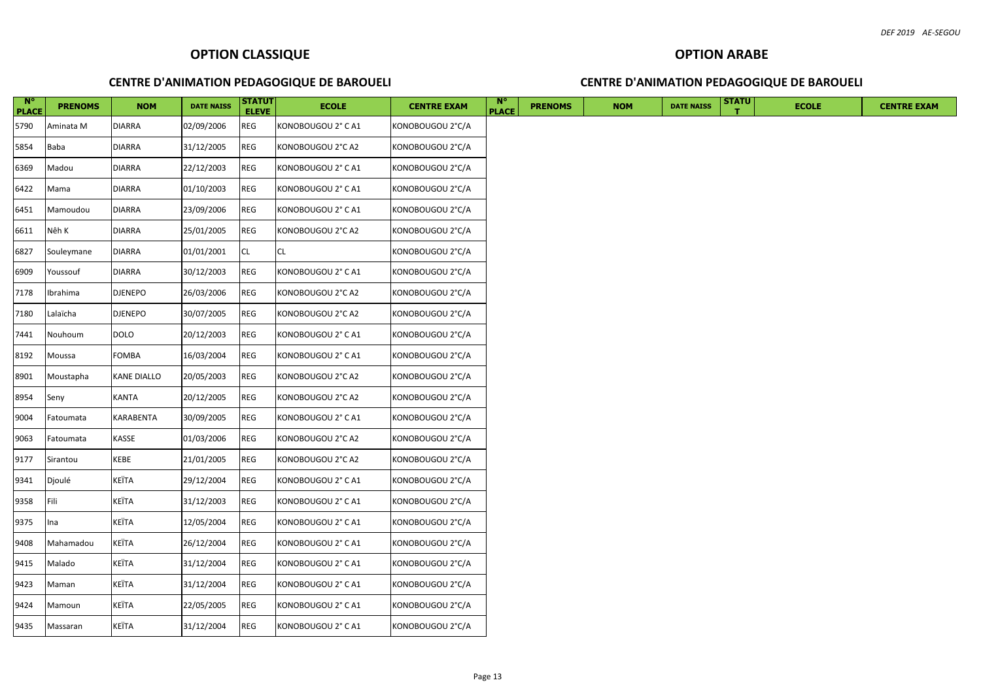| $N^{\circ}$<br><b>PLACE</b> | <b>PRENOMS</b> | <b>NOM</b>     | <b>DATE NAISS</b> | <b>STATUT</b><br><b>ELEVE</b> | <b>ECOLE</b>       | <b>CENTRE EXAM</b> | $N^{\circ}$<br><b>PLACE</b> | <b>PRENOMS</b> | <b>NOM</b> | <b>DATE NAISS</b> | <b>STATU</b> | <b>ECOLE</b> | <b>CENTRE EXAM</b> |
|-----------------------------|----------------|----------------|-------------------|-------------------------------|--------------------|--------------------|-----------------------------|----------------|------------|-------------------|--------------|--------------|--------------------|
| 5790                        | Aminata M      | <b>DIARRA</b>  | 02/09/2006        | <b>REG</b>                    | KONOBOUGOU 2° C A1 | KONOBOUGOU 2°C/A   |                             |                |            |                   |              |              |                    |
| 5854                        | Baba           | <b>DIARRA</b>  | 31/12/2005        | REG                           | KONOBOUGOU 2°C A2  | KONOBOUGOU 2°C/A   |                             |                |            |                   |              |              |                    |
| 6369                        | Madou          | <b>DIARRA</b>  | 22/12/2003        | <b>REG</b>                    | KONOBOUGOU 2° C A1 | KONOBOUGOU 2°C/A   |                             |                |            |                   |              |              |                    |
| 6422                        | Mama           | <b>DIARRA</b>  | 01/10/2003        | REG                           | KONOBOUGOU 2° C A1 | KONOBOUGOU 2°C/A   |                             |                |            |                   |              |              |                    |
| 6451                        | Mamoudou       | <b>DIARRA</b>  | 23/09/2006        | REG                           | KONOBOUGOU 2° C A1 | KONOBOUGOU 2°C/A   |                             |                |            |                   |              |              |                    |
| 6611                        | Nêh K          | <b>DIARRA</b>  | 25/01/2005        | REG                           | KONOBOUGOU 2°C A2  | KONOBOUGOU 2°C/A   |                             |                |            |                   |              |              |                    |
| 6827                        | Souleymane     | <b>DIARRA</b>  | 01/01/2001        | <b>CL</b>                     | CL.                | KONOBOUGOU 2°C/A   |                             |                |            |                   |              |              |                    |
| 6909                        | Youssouf       | <b>DIARRA</b>  | 30/12/2003        | <b>REG</b>                    | KONOBOUGOU 2° C A1 | KONOBOUGOU 2°C/A   |                             |                |            |                   |              |              |                    |
| 7178                        | Ibrahima       | DJENEPO        | 26/03/2006        | REG                           | KONOBOUGOU 2°C A2  | KONOBOUGOU 2°C/A   |                             |                |            |                   |              |              |                    |
| 7180                        | Lalaïcha       | <b>DJENEPO</b> | 30/07/2005        | REG                           | KONOBOUGOU 2°C A2  | KONOBOUGOU 2°C/A   |                             |                |            |                   |              |              |                    |
| 7441                        | Nouhoum        | <b>DOLO</b>    | 20/12/2003        | <b>REG</b>                    | KONOBOUGOU 2° C A1 | KONOBOUGOU 2°C/A   |                             |                |            |                   |              |              |                    |
| 8192                        | Moussa         | FOMBA          | 16/03/2004        | REG                           | KONOBOUGOU 2° C A1 | KONOBOUGOU 2°C/A   |                             |                |            |                   |              |              |                    |
| 8901                        | Moustapha      | KANE DIALLO    | 20/05/2003        | REG                           | KONOBOUGOU 2°C A2  | KONOBOUGOU 2°C/A   |                             |                |            |                   |              |              |                    |
| 8954                        | Seny           | KANTA          | 20/12/2005        | REG                           | KONOBOUGOU 2°C A2  | KONOBOUGOU 2°C/A   |                             |                |            |                   |              |              |                    |
| 9004                        | Fatoumata      | KARABENTA      | 30/09/2005        | REG                           | KONOBOUGOU 2° C A1 | KONOBOUGOU 2°C/A   |                             |                |            |                   |              |              |                    |
| 9063                        | Fatoumata      | KASSE          | 01/03/2006        | REG                           | KONOBOUGOU 2°C A2  | KONOBOUGOU 2°C/A   |                             |                |            |                   |              |              |                    |
| 9177                        | Sirantou       | KEBE           | 21/01/2005        | <b>REG</b>                    | KONOBOUGOU 2°C A2  | KONOBOUGOU 2°C/A   |                             |                |            |                   |              |              |                    |
| 9341                        | Djoulé         | KEÏTA          | 29/12/2004        | REG                           | KONOBOUGOU 2° C A1 | KONOBOUGOU 2°C/A   |                             |                |            |                   |              |              |                    |
| 9358                        | Fili           | KEÏTA          | 31/12/2003        | <b>REG</b>                    | KONOBOUGOU 2° C A1 | KONOBOUGOU 2°C/A   |                             |                |            |                   |              |              |                    |
| 9375                        | Ina            | KEÏTA          | 12/05/2004        | REG                           | KONOBOUGOU 2° C A1 | KONOBOUGOU 2°C/A   |                             |                |            |                   |              |              |                    |
| 9408                        | Mahamadou      | KEÏTA          | 26/12/2004        | <b>REG</b>                    | KONOBOUGOU 2° C A1 | KONOBOUGOU 2°C/A   |                             |                |            |                   |              |              |                    |
| 9415                        | Malado         | KEÏTA          | 31/12/2004        | REG                           | KONOBOUGOU 2° C A1 | KONOBOUGOU 2°C/A   |                             |                |            |                   |              |              |                    |
| 9423                        | Maman          | KEÏTA          | 31/12/2004        | REG                           | KONOBOUGOU 2° C A1 | KONOBOUGOU 2°C/A   |                             |                |            |                   |              |              |                    |
| 9424                        | Mamoun         | KEÏTA          | 22/05/2005        | REG                           | KONOBOUGOU 2° C A1 | KONOBOUGOU 2°C/A   |                             |                |            |                   |              |              |                    |
| 9435                        | Massaran       | KEÏTA          | 31/12/2004        | <b>REG</b>                    | KONOBOUGOU 2° C A1 | KONOBOUGOU 2°C/A   |                             |                |            |                   |              |              |                    |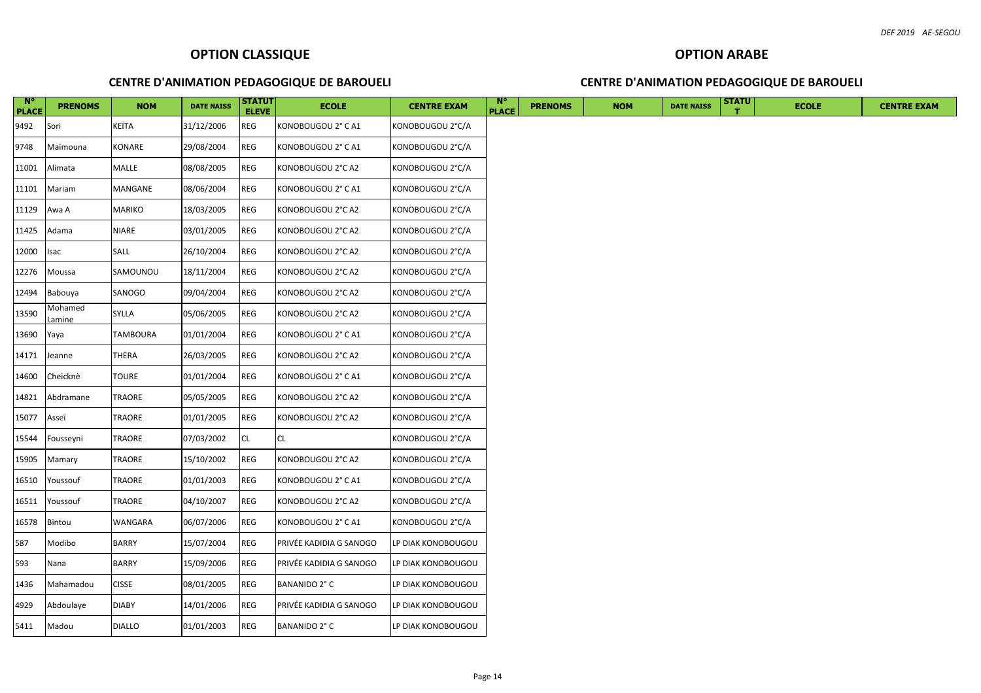| $N^{\circ}$<br><b>PLACE</b> | <b>PRENOMS</b>    | <b>NOM</b>    | <b>DATE NAISS</b> | <b>STATUT</b><br><b>ELEVE</b> | <b>ECOLE</b>            | <b>CENTRE EXAM</b> | $N^{\circ}$<br><b>PLACE</b> | <b>PRENOMS</b> | <b>NOM</b> | <b>DATE NAISS</b> | <b>STATU</b> | <b>ECOLE</b> | <b>CENTRE EXAM</b> |
|-----------------------------|-------------------|---------------|-------------------|-------------------------------|-------------------------|--------------------|-----------------------------|----------------|------------|-------------------|--------------|--------------|--------------------|
| 9492                        | Sori              | KEÏTA         | 31/12/2006        | REG                           | KONOBOUGOU 2° C A1      | KONOBOUGOU 2°C/A   |                             |                |            |                   |              |              |                    |
| 9748                        | Maïmouna          | KONARE        | 29/08/2004        | REG                           | KONOBOUGOU 2° C A1      | KONOBOUGOU 2°C/A   |                             |                |            |                   |              |              |                    |
| 11001                       | Alimata           | MALLE         | 08/08/2005        | REG                           | KONOBOUGOU 2°C A2       | KONOBOUGOU 2°C/A   |                             |                |            |                   |              |              |                    |
| 11101                       | Mariam            | MANGANE       | 08/06/2004        | REG                           | KONOBOUGOU 2° C A1      | KONOBOUGOU 2°C/A   |                             |                |            |                   |              |              |                    |
| 11129                       | Awa A             | MARIKO        | 18/03/2005        | REG                           | KONOBOUGOU 2°C A2       | KONOBOUGOU 2°C/A   |                             |                |            |                   |              |              |                    |
| 11425                       | Adama             | NIARE         | 03/01/2005        | <b>REG</b>                    | KONOBOUGOU 2°C A2       | KONOBOUGOU 2°C/A   |                             |                |            |                   |              |              |                    |
| 12000                       | Isac              | SALL          | 26/10/2004        | REG                           | KONOBOUGOU 2°C A2       | KONOBOUGOU 2°C/A   |                             |                |            |                   |              |              |                    |
| 12276                       | Moussa            | SAMOUNOU      | 18/11/2004        | REG                           | KONOBOUGOU 2°C A2       | KONOBOUGOU 2°C/A   |                             |                |            |                   |              |              |                    |
| 12494                       | Babouya           | SANOGO        | 09/04/2004        | REG                           | KONOBOUGOU 2°C A2       | KONOBOUGOU 2°C/A   |                             |                |            |                   |              |              |                    |
| 13590                       | Mohamed<br>Lamine | SYLLA         | 05/06/2005        | REG                           | KONOBOUGOU 2°C A2       | KONOBOUGOU 2°C/A   |                             |                |            |                   |              |              |                    |
| 13690                       | Yaya              | TAMBOURA      | 01/01/2004        | REG                           | KONOBOUGOU 2° C A1      | KONOBOUGOU 2°C/A   |                             |                |            |                   |              |              |                    |
| 14171                       | Jeanne            | THERA         | 26/03/2005        | $\mathsf{REG}\xspace$         | KONOBOUGOU 2°C A2       | KONOBOUGOU 2°C/A   |                             |                |            |                   |              |              |                    |
| 14600                       | Cheicknè          | TOURE         | 01/01/2004        | REG                           | KONOBOUGOU 2° C A1      | KONOBOUGOU 2°C/A   |                             |                |            |                   |              |              |                    |
| 14821                       | Abdramane         | TRAORE        | 05/05/2005        | REG                           | KONOBOUGOU 2°C A2       | KONOBOUGOU 2°C/A   |                             |                |            |                   |              |              |                    |
| 15077                       | Asseï             | TRAORE        | 01/01/2005        | REG                           | KONOBOUGOU 2°C A2       | KONOBOUGOU 2°C/A   |                             |                |            |                   |              |              |                    |
| 15544                       | Fousseyni         | TRAORE        | 07/03/2002        | <b>CL</b>                     | CL                      | KONOBOUGOU 2°C/A   |                             |                |            |                   |              |              |                    |
| 15905                       | Mamary            | TRAORE        | 15/10/2002        | <b>REG</b>                    | KONOBOUGOU 2°C A2       | KONOBOUGOU 2°C/A   |                             |                |            |                   |              |              |                    |
| 16510                       | Youssouf          | TRAORE        | 01/01/2003        | REG                           | KONOBOUGOU 2° C A1      | KONOBOUGOU 2°C/A   |                             |                |            |                   |              |              |                    |
| 16511                       | Youssouf          | TRAORE        | 04/10/2007        | REG                           | KONOBOUGOU 2°C A2       | KONOBOUGOU 2°C/A   |                             |                |            |                   |              |              |                    |
| 16578                       | Bintou            | WANGARA       | 06/07/2006        | REG                           | KONOBOUGOU 2° C A1      | KONOBOUGOU 2°C/A   |                             |                |            |                   |              |              |                    |
| 587                         | Modibo            | <b>BARRY</b>  | 15/07/2004        | REG                           | PRIVÉE KADIDIA G SANOGO | LP DIAK KONOBOUGOU |                             |                |            |                   |              |              |                    |
| 593                         | Nana              | <b>BARRY</b>  | 15/09/2006        | REG                           | PRIVÉE KADIDIA G SANOGO | LP DIAK KONOBOUGOU |                             |                |            |                   |              |              |                    |
| 1436                        | Mahamadou         | <b>CISSE</b>  | 08/01/2005        | <b>REG</b>                    | BANANIDO 2° C           | LP DIAK KONOBOUGOU |                             |                |            |                   |              |              |                    |
| 4929                        | Abdoulaye         | <b>DIABY</b>  | 14/01/2006        | <b>REG</b>                    | PRIVÉE KADIDIA G SANOGO | LP DIAK KONOBOUGOU |                             |                |            |                   |              |              |                    |
| 5411                        | Madou             | <b>DIALLO</b> | 01/01/2003        | <b>REG</b>                    | BANANIDO 2° C           | LP DIAK KONOBOUGOU |                             |                |            |                   |              |              |                    |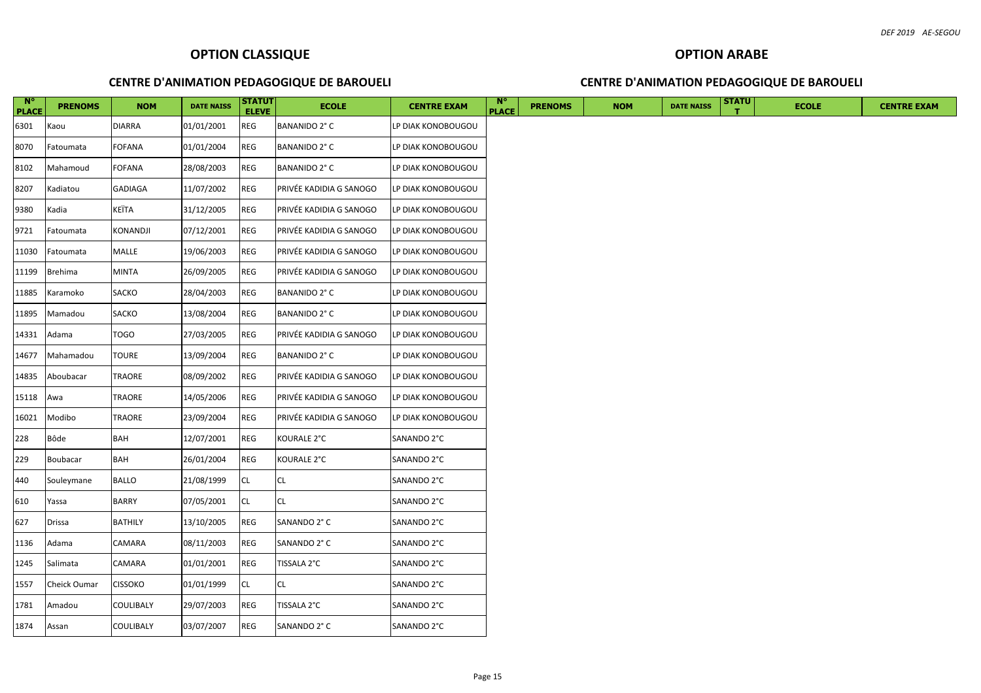| $N^{\circ}$<br><b>PLACE</b> | <b>PRENOMS</b>      | <b>NOM</b>     | <b>DATE NAISS</b> | <b>STATUT</b><br><b>ELEVE</b> | <b>ECOLE</b>            | <b>CENTRE EXAM</b> | $\mathbb{N}^{\circ}$<br><b>PLACE</b> | <b>PRENOMS</b> | <b>NOM</b> | <b>DATE NAISS</b> | <b>STATU</b> | <b>ECOLE</b> | <b>CENTRE EXAM</b> |
|-----------------------------|---------------------|----------------|-------------------|-------------------------------|-------------------------|--------------------|--------------------------------------|----------------|------------|-------------------|--------------|--------------|--------------------|
| 6301                        | Kaou                | <b>DIARRA</b>  | 01/01/2001        | <b>REG</b>                    | BANANIDO 2° C           | LP DIAK KONOBOUGOU |                                      |                |            |                   |              |              |                    |
| 8070                        | Fatoumata           | <b>FOFANA</b>  | 01/01/2004        | REG                           | BANANIDO 2° C           | LP DIAK KONOBOUGOU |                                      |                |            |                   |              |              |                    |
| 8102                        | Mahamoud            | FOFANA         | 28/08/2003        | <b>REG</b>                    | BANANIDO 2° C           | LP DIAK KONOBOUGOU |                                      |                |            |                   |              |              |                    |
| 8207                        | Kadiatou            | <b>GADIAGA</b> | 11/07/2002        | <b>REG</b>                    | PRIVÉE KADIDIA G SANOGO | LP DIAK KONOBOUGOU |                                      |                |            |                   |              |              |                    |
| 9380                        | Kadia               | KEÏTA          | 31/12/2005        | REG                           | PRIVÉE KADIDIA G SANOGO | LP DIAK KONOBOUGOU |                                      |                |            |                   |              |              |                    |
| 9721                        | Fatoumata           | KONANDJI       | 07/12/2001        | REG                           | PRIVÉE KADIDIA G SANOGO | LP DIAK KONOBOUGOU |                                      |                |            |                   |              |              |                    |
| 11030                       | Fatoumata           | MALLE          | 19/06/2003        | <b>REG</b>                    | PRIVÉE KADIDIA G SANOGO | LP DIAK KONOBOUGOU |                                      |                |            |                   |              |              |                    |
| 11199                       | <b>Brehima</b>      | <b>MINTA</b>   | 26/09/2005        | REG                           | PRIVÉE KADIDIA G SANOGO | LP DIAK KONOBOUGOU |                                      |                |            |                   |              |              |                    |
| 11885                       | Karamoko            | <b>SACKO</b>   | 28/04/2003        | <b>REG</b>                    | BANANIDO 2° C           | LP DIAK KONOBOUGOU |                                      |                |            |                   |              |              |                    |
| 11895                       | Mamadou             | SACKO          | 13/08/2004        | <b>REG</b>                    | BANANIDO 2° C           | LP DIAK KONOBOUGOU |                                      |                |            |                   |              |              |                    |
| 14331                       | Adama               | <b>TOGO</b>    | 27/03/2005        | REG                           | PRIVÉE KADIDIA G SANOGO | LP DIAK KONOBOUGOU |                                      |                |            |                   |              |              |                    |
| 14677                       | Mahamadou           | <b>TOURE</b>   | 13/09/2004        | <b>REG</b>                    | BANANIDO 2° C           | LP DIAK KONOBOUGOU |                                      |                |            |                   |              |              |                    |
| 14835                       | Aboubacar           | TRAORE         | 08/09/2002        | <b>REG</b>                    | PRIVÉE KADIDIA G SANOGO | LP DIAK KONOBOUGOU |                                      |                |            |                   |              |              |                    |
| 15118                       | Awa                 | TRAORE         | 14/05/2006        | <b>REG</b>                    | PRIVÉE KADIDIA G SANOGO | LP DIAK KONOBOUGOU |                                      |                |            |                   |              |              |                    |
| 16021                       | Modibo              | TRAORE         | 23/09/2004        | <b>REG</b>                    | PRIVÉE KADIDIA G SANOGO | LP DIAK KONOBOUGOU |                                      |                |            |                   |              |              |                    |
| 228                         | Bôde                | BAH            | 12/07/2001        | <b>REG</b>                    | KOURALE 2°C             | SANANDO 2°C        |                                      |                |            |                   |              |              |                    |
| 229                         | Boubacar            | <b>BAH</b>     | 26/01/2004        | <b>REG</b>                    | KOURALE 2°C             | SANANDO 2°C        |                                      |                |            |                   |              |              |                    |
| 440                         | Souleymane          | <b>BALLO</b>   | 21/08/1999        | <b>CL</b>                     | <b>CL</b>               | SANANDO 2°C        |                                      |                |            |                   |              |              |                    |
| 610                         | Yassa               | <b>BARRY</b>   | 07/05/2001        | CL                            | <b>CL</b>               | SANANDO 2°C        |                                      |                |            |                   |              |              |                    |
| 627                         | <b>Drissa</b>       | <b>BATHILY</b> | 13/10/2005        | <b>REG</b>                    | SANANDO 2° C            | SANANDO 2°C        |                                      |                |            |                   |              |              |                    |
| 1136                        | Adama               | CAMARA         | 08/11/2003        | REG                           | SANANDO 2° C            | SANANDO 2°C        |                                      |                |            |                   |              |              |                    |
| 1245                        | Salimata            | CAMARA         | 01/01/2001        | <b>REG</b>                    | TISSALA 2°C             | SANANDO 2°C        |                                      |                |            |                   |              |              |                    |
| 1557                        | <b>Cheick Oumar</b> | <b>CISSOKO</b> | 01/01/1999        | <b>CL</b>                     | <b>CL</b>               | SANANDO 2°C        |                                      |                |            |                   |              |              |                    |
| 1781                        | Amadou              | COULIBALY      | 29/07/2003        | <b>REG</b>                    | TISSALA 2°C             | SANANDO 2°C        |                                      |                |            |                   |              |              |                    |
| 1874                        | Assan               | COULIBALY      | 03/07/2007        | <b>REG</b>                    | SANANDO 2° C            | SANANDO 2°C        |                                      |                |            |                   |              |              |                    |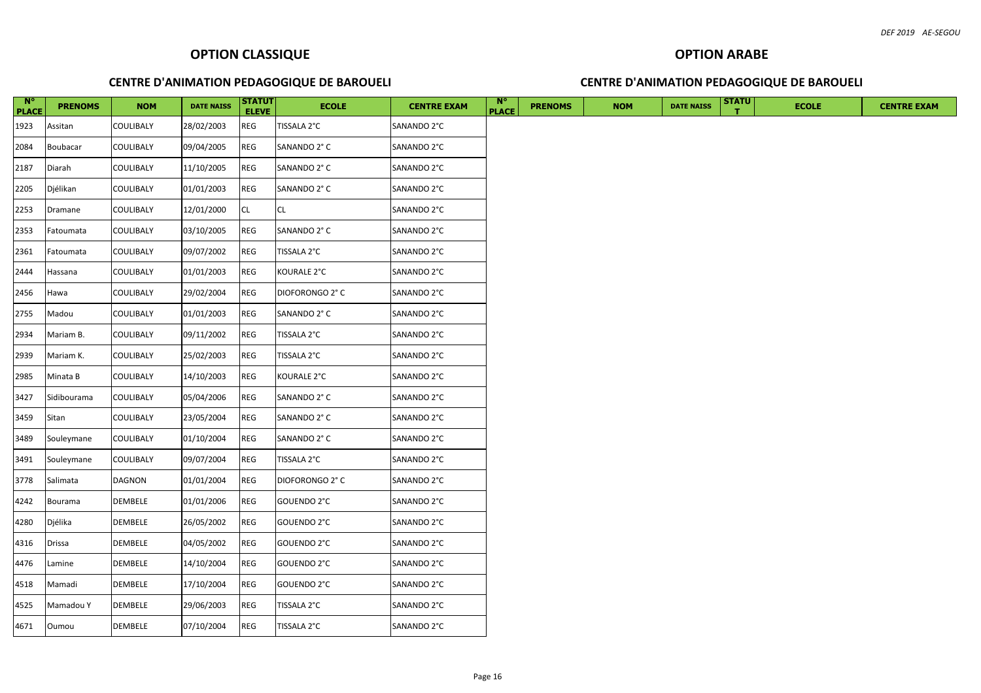|  | <b>CENTRE D'ANIMATION PEDAGOGIQUE DE BAROUELI</b> |  |  |  |
|--|---------------------------------------------------|--|--|--|
|--|---------------------------------------------------|--|--|--|

| $\overline{\phantom{a}}$ N°<br><b>PLACE</b> | <b>PRENOMS</b> | <b>NOM</b>       | <b>DATE NAISS</b> | STATUT<br><b>ELEVE</b> | <b>ECOLE</b>    | <b>CENTRE EXAM</b> | <b>N°</b><br><b>PLACE</b> | <b>PRENOMS</b> | <b>NOM</b> | <b>DATE NAISS</b> | <b>STATU</b> | <b>ECOLE</b> |
|---------------------------------------------|----------------|------------------|-------------------|------------------------|-----------------|--------------------|---------------------------|----------------|------------|-------------------|--------------|--------------|
| 1923                                        | Assitan        | COULIBALY        | 28/02/2003        | REG                    | TISSALA 2°C     | SANANDO 2°C        |                           |                |            |                   |              |              |
| 2084                                        | Boubacar       | COULIBALY        | 09/04/2005        | <b>REG</b>             | SANANDO 2° C    | SANANDO 2°C        |                           |                |            |                   |              |              |
| 2187                                        | Diarah         | COULIBALY        | 11/10/2005        | REG                    | SANANDO 2° C    | SANANDO 2°C        |                           |                |            |                   |              |              |
| 2205                                        | Djélikan       | COULIBALY        | 01/01/2003        | <b>REG</b>             | SANANDO 2° C    | SANANDO 2°C        |                           |                |            |                   |              |              |
| 2253                                        | Dramane        | <b>COULIBALY</b> | 12/01/2000        | <b>ICL</b>             | CL.             | SANANDO 2°C        |                           |                |            |                   |              |              |
| 2353                                        | Fatoumata      | COULIBALY        | 03/10/2005        | <b>REG</b>             | SANANDO 2° C    | SANANDO 2°C        |                           |                |            |                   |              |              |
| 2361                                        | Fatoumata      | COULIBALY        | 09/07/2002        | <b>REG</b>             | TISSALA 2°C     | SANANDO 2°C        |                           |                |            |                   |              |              |
| 2444                                        | Hassana        | COULIBALY        | 01/01/2003        | <b>REG</b>             | KOURALE 2°C     | SANANDO 2°C        |                           |                |            |                   |              |              |
| 2456                                        | Hawa           | COULIBALY        | 29/02/2004        | <b>REG</b>             | DIOFORONGO 2° C | SANANDO 2°C        |                           |                |            |                   |              |              |
| 2755                                        | Madou          | COULIBALY        | 01/01/2003        | REG                    | SANANDO 2° C    | SANANDO 2°C        |                           |                |            |                   |              |              |
| 2934                                        | Mariam B.      | COULIBALY        | 09/11/2002        | <b>REG</b>             | TISSALA 2°C     | SANANDO 2°C        |                           |                |            |                   |              |              |
| 2939                                        | Mariam K.      | COULIBALY        | 25/02/2003        | REG                    | TISSALA 2°C     | SANANDO 2°C        |                           |                |            |                   |              |              |
| 2985                                        | Minata B       | COULIBALY        | 14/10/2003        | <b>REG</b>             | KOURALE 2°C     | SANANDO 2°C        |                           |                |            |                   |              |              |
| 3427                                        | Sidibourama    | <b>COULIBALY</b> | 05/04/2006        | <b>REG</b>             | SANANDO 2° C    | SANANDO 2°C        |                           |                |            |                   |              |              |
| 3459                                        | Sitan          | COULIBALY        | 23/05/2004        | <b>REG</b>             | SANANDO 2° C    | SANANDO 2°C        |                           |                |            |                   |              |              |
| 3489                                        | Souleymane     | COULIBALY        | 01/10/2004        | <b>REG</b>             | SANANDO 2° C    | SANANDO 2°C        |                           |                |            |                   |              |              |
| 3491                                        | Souleymane     | COULIBALY        | 09/07/2004        | REG                    | TISSALA 2°C     | SANANDO 2°C        |                           |                |            |                   |              |              |
| 3778                                        | Salimata       | DAGNON           | 01/01/2004        | <b>REG</b>             | DIOFORONGO 2° C | SANANDO 2°C        |                           |                |            |                   |              |              |
| 4242                                        | Bourama        | DEMBELE          | 01/01/2006        | <b>REG</b>             | GOUENDO 2°C     | SANANDO 2°C        |                           |                |            |                   |              |              |
| 4280                                        | Djélika        | DEMBELE          | 26/05/2002        | REG                    | GOUENDO 2°C     | SANANDO 2°C        |                           |                |            |                   |              |              |
| 4316                                        | Drissa         | DEMBELE          | 04/05/2002        | <b>REG</b>             | GOUENDO 2°C     | SANANDO 2°C        |                           |                |            |                   |              |              |
| 4476                                        | Lamine         | DEMBELE          | 14/10/2004        | <b>REG</b>             | GOUENDO 2°C     | SANANDO 2°C        |                           |                |            |                   |              |              |
| 4518                                        | Mamadi         | DEMBELE          | 17/10/2004        | <b>REG</b>             | GOUENDO 2°C     | SANANDO 2°C        |                           |                |            |                   |              |              |
| 4525                                        | Mamadou Y      | <b>DEMBELE</b>   | 29/06/2003        | <b>REG</b>             | TISSALA 2°C     | SANANDO 2°C        |                           |                |            |                   |              |              |
| 4671                                        | Oumou          | DEMBELE          | 07/10/2004        | <b>REG</b>             | TISSALA 2°C     | SANANDO 2°C        |                           |                |            |                   |              |              |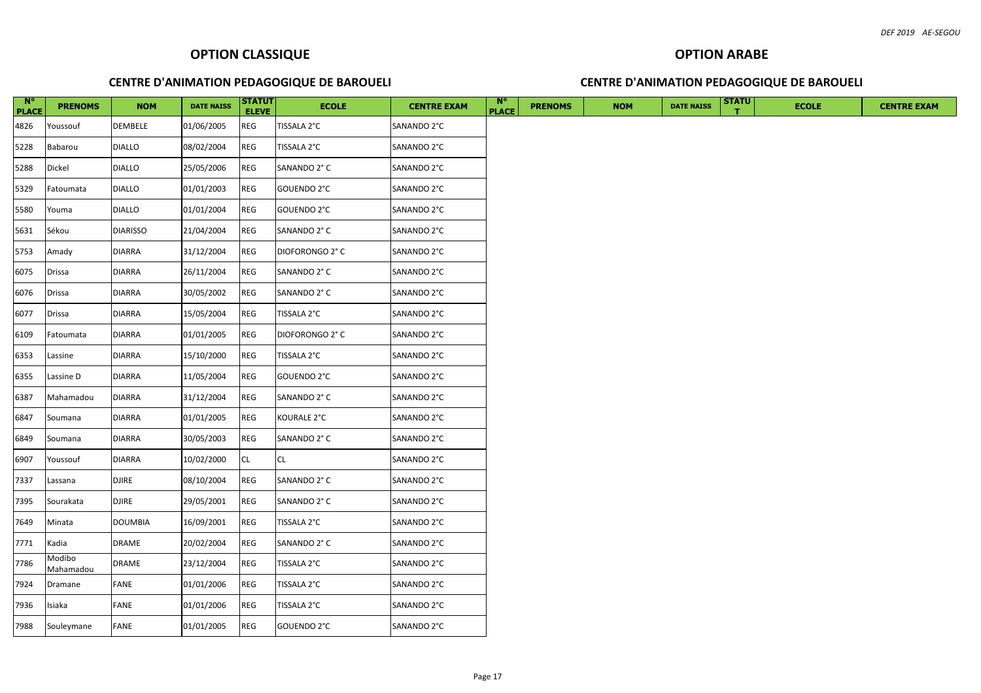| $\overline{\phantom{a}}$ N°<br><b>PLACE</b> | <b>PRENOMS</b>      | <b>NOM</b>      | <b>DATE NAISS</b> | <b>STATUT</b><br><b>ELEVE</b> | <b>ECOLE</b>    | <b>CENTRE EXAM</b> | $\mathbf{N}^{\circ}$<br><b>PLACE</b> | <b>PRENOMS</b> | <b>NOM</b> | <b>DATE NAISS</b> | <b>STATU</b> | <b>ECOLE</b> | <b>CENTRE EXAM</b> |
|---------------------------------------------|---------------------|-----------------|-------------------|-------------------------------|-----------------|--------------------|--------------------------------------|----------------|------------|-------------------|--------------|--------------|--------------------|
| 4826                                        | Youssouf            | DEMBELE         | 01/06/2005        | <b>REG</b>                    | TISSALA 2°C     | SANANDO 2°C        |                                      |                |            |                   |              |              |                    |
| 5228                                        | Babarou             | <b>DIALLO</b>   | 08/02/2004        | REG                           | TISSALA 2°C     | SANANDO 2°C        |                                      |                |            |                   |              |              |                    |
| 5288                                        | Dickel              | <b>DIALLO</b>   | 25/05/2006        | REG                           | SANANDO 2° C    | SANANDO 2°C        |                                      |                |            |                   |              |              |                    |
| 5329                                        | Fatoumata           | <b>DIALLO</b>   | 01/01/2003        | <b>REG</b>                    | GOUENDO 2°C     | SANANDO 2°C        |                                      |                |            |                   |              |              |                    |
| 5580                                        | Youma               | <b>DIALLO</b>   | 01/01/2004        | REG                           | GOUENDO 2°C     | SANANDO 2°C        |                                      |                |            |                   |              |              |                    |
| 5631                                        | Sékou               | <b>DIARISSO</b> | 21/04/2004        | <b>REG</b>                    | SANANDO 2° C    | SANANDO 2°C        |                                      |                |            |                   |              |              |                    |
| 5753                                        | Amady               | <b>DIARRA</b>   | 31/12/2004        | ${\sf REG}$                   | DIOFORONGO 2° C | SANANDO 2°C        |                                      |                |            |                   |              |              |                    |
| 6075                                        | Drissa              | <b>DIARRA</b>   | 26/11/2004        | <b>REG</b>                    | SANANDO 2° C    | SANANDO 2°C        |                                      |                |            |                   |              |              |                    |
| 6076                                        | Drissa              | <b>DIARRA</b>   | 30/05/2002        | <b>REG</b>                    | SANANDO 2° C    | SANANDO 2°C        |                                      |                |            |                   |              |              |                    |
| 6077                                        | Drissa              | <b>DIARRA</b>   | 15/05/2004        | <b>REG</b>                    | TISSALA 2°C     | SANANDO 2°C        |                                      |                |            |                   |              |              |                    |
| 6109                                        | Fatoumata           | <b>DIARRA</b>   | 01/01/2005        | REG                           | DIOFORONGO 2° C | SANANDO 2°C        |                                      |                |            |                   |              |              |                    |
| 6353                                        | Lassine             | <b>DIARRA</b>   | 15/10/2000        | REG                           | TISSALA 2°C     | SANANDO 2°C        |                                      |                |            |                   |              |              |                    |
| 6355                                        | Lassine D           | <b>DIARRA</b>   | 11/05/2004        | REG                           | GOUENDO 2°C     | SANANDO 2°C        |                                      |                |            |                   |              |              |                    |
| 6387                                        | Mahamadou           | <b>DIARRA</b>   | 31/12/2004        | <b>REG</b>                    | SANANDO 2° C    | SANANDO 2°C        |                                      |                |            |                   |              |              |                    |
| 6847                                        | Soumana             | <b>DIARRA</b>   | 01/01/2005        | <b>REG</b>                    | KOURALE 2°C     | SANANDO 2°C        |                                      |                |            |                   |              |              |                    |
| 6849                                        | Soumana             | <b>DIARRA</b>   | 30/05/2003        | REG                           | SANANDO 2° C    | SANANDO 2°C        |                                      |                |            |                   |              |              |                    |
| 6907                                        | Youssouf            | <b>DIARRA</b>   | 10/02/2000        | <b>CL</b>                     | <b>CL</b>       | SANANDO 2°C        |                                      |                |            |                   |              |              |                    |
| 7337                                        | Lassana             | DJIRE           | 08/10/2004        | <b>REG</b>                    | SANANDO 2° C    | SANANDO 2°C        |                                      |                |            |                   |              |              |                    |
| 7395                                        | Sourakata           | <b>DJIRE</b>    | 29/05/2001        | <b>REG</b>                    | SANANDO 2° C    | SANANDO 2°C        |                                      |                |            |                   |              |              |                    |
| 7649                                        | Minata              | <b>DOUMBIA</b>  | 16/09/2001        | REG                           | TISSALA 2°C     | SANANDO 2°C        |                                      |                |            |                   |              |              |                    |
| 7771                                        | Kadia               | <b>DRAME</b>    | 20/02/2004        | REG                           | SANANDO 2° C    | SANANDO 2°C        |                                      |                |            |                   |              |              |                    |
| 7786                                        | Modibo<br>Mahamadou | DRAME           | 23/12/2004        | REG                           | TISSALA 2°C     | SANANDO 2°C        |                                      |                |            |                   |              |              |                    |
| 7924                                        | Dramane             | FANE            | 01/01/2006        | <b>REG</b>                    | TISSALA 2°C     | SANANDO 2°C        |                                      |                |            |                   |              |              |                    |
| 7936                                        | Isiaka              | FANE            | 01/01/2006        | <b>REG</b>                    | TISSALA 2°C     | SANANDO 2°C        |                                      |                |            |                   |              |              |                    |
| 7988                                        | Souleymane          | <b>FANE</b>     | 01/01/2005        | <b>REG</b>                    | GOUENDO 2°C     | SANANDO 2°C        |                                      |                |            |                   |              |              |                    |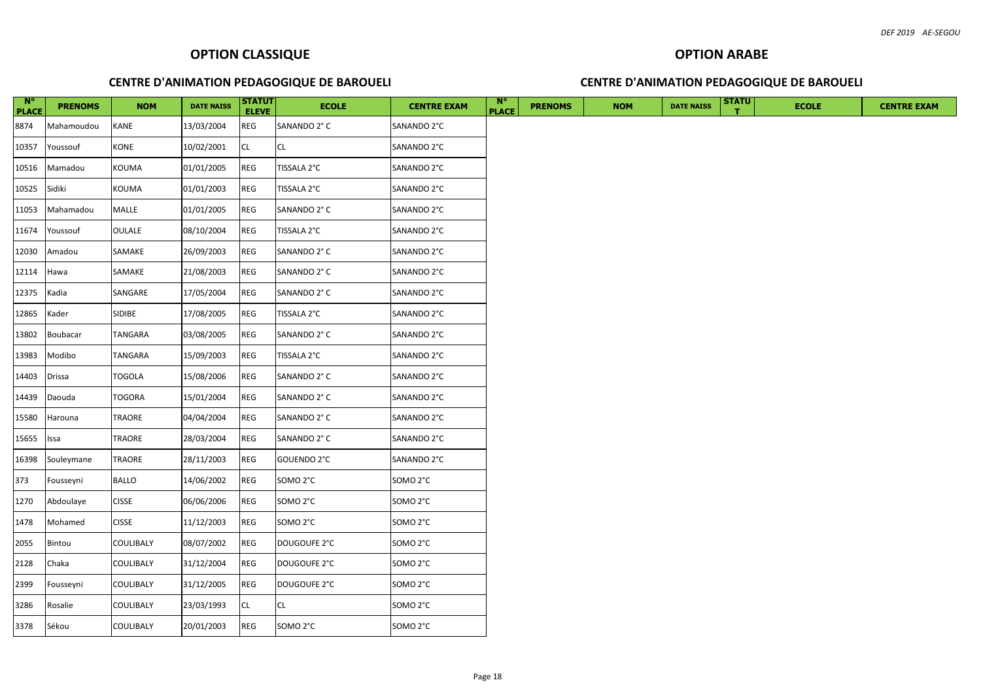| $N^{\circ}$<br><b>PLACE</b> | <b>PRENOMS</b> | <b>NOM</b>    | <b>DATE NAISS</b> | <b>STATUT</b><br><b>ELEVE</b> | <b>ECOLE</b> | <b>CENTRE EXAM</b>   | <b>N°</b><br><b>PLACE</b> | <b>PRENOMS</b> | <b>NOM</b> | <b>DATE NAISS</b> | <b>STATU</b> | <b>ECOLE</b> | <b>CENTRE EXAM</b> |
|-----------------------------|----------------|---------------|-------------------|-------------------------------|--------------|----------------------|---------------------------|----------------|------------|-------------------|--------------|--------------|--------------------|
| 8874                        | Mahamoudou     | KANE          | 13/03/2004        | REG                           | SANANDO 2° C | SANANDO 2°C          |                           |                |            |                   |              |              |                    |
| 10357                       | Youssouf       | KONE          | 10/02/2001        | <b>CL</b>                     | CL           | SANANDO 2°C          |                           |                |            |                   |              |              |                    |
| 10516                       | Mamadou        | KOUMA         | 01/01/2005        | <b>REG</b>                    | TISSALA 2°C  | SANANDO 2°C          |                           |                |            |                   |              |              |                    |
| 10525                       | Sidiki         | KOUMA         | 01/01/2003        | REG                           | TISSALA 2°C  | SANANDO 2°C          |                           |                |            |                   |              |              |                    |
| 11053                       | Mahamadou      | MALLE         | 01/01/2005        | <b>REG</b>                    | SANANDO 2° C | SANANDO 2°C          |                           |                |            |                   |              |              |                    |
| 11674                       | Youssouf       | OULALE        | 08/10/2004        | REG                           | TISSALA 2°C  | SANANDO 2°C          |                           |                |            |                   |              |              |                    |
| 12030                       | Amadou         | SAMAKE        | 26/09/2003        | REG                           | SANANDO 2° C | SANANDO 2°C          |                           |                |            |                   |              |              |                    |
| 12114                       | Hawa           | SAMAKE        | 21/08/2003        | REG                           | SANANDO 2° C | SANANDO 2°C          |                           |                |            |                   |              |              |                    |
| 12375                       | Kadia          | SANGARE       | 17/05/2004        | <b>REG</b>                    | SANANDO 2° C | SANANDO 2°C          |                           |                |            |                   |              |              |                    |
| 12865                       | Kader          | SIDIBE        | 17/08/2005        | <b>REG</b>                    | TISSALA 2°C  | SANANDO 2°C          |                           |                |            |                   |              |              |                    |
| 13802                       | Boubacar       | TANGARA       | 03/08/2005        | REG                           | SANANDO 2° C | SANANDO 2°C          |                           |                |            |                   |              |              |                    |
| 13983                       | Modibo         | TANGARA       | 15/09/2003        | REG                           | TISSALA 2°C  | SANANDO 2°C          |                           |                |            |                   |              |              |                    |
| 14403                       | Drissa         | <b>TOGOLA</b> | 15/08/2006        | REG                           | SANANDO 2° C | SANANDO 2°C          |                           |                |            |                   |              |              |                    |
| 14439                       | Daouda         | <b>TOGORA</b> | 15/01/2004        | <b>REG</b>                    | SANANDO 2° C | SANANDO 2°C          |                           |                |            |                   |              |              |                    |
| 15580                       | Harouna        | TRAORE        | 04/04/2004        | REG                           | SANANDO 2° C | SANANDO 2°C          |                           |                |            |                   |              |              |                    |
| 15655                       | Issa           | TRAORE        | 28/03/2004        | REG                           | SANANDO 2° C | SANANDO 2°C          |                           |                |            |                   |              |              |                    |
| 16398                       | Souleymane     | TRAORE        | 28/11/2003        | REG                           | GOUENDO 2°C  | SANANDO 2°C          |                           |                |            |                   |              |              |                    |
| 373                         | Fousseyni      | <b>BALLO</b>  | 14/06/2002        | REG                           | SOMO 2°C     | SOMO 2°C             |                           |                |            |                   |              |              |                    |
| 1270                        | Abdoulaye      | <b>CISSE</b>  | 06/06/2006        | REG                           | SOMO 2°C     | SOMO 2°C             |                           |                |            |                   |              |              |                    |
| 1478                        | Mohamed        | <b>CISSE</b>  | 11/12/2003        | <b>REG</b>                    | SOMO 2°C     | SOMO 2°C             |                           |                |            |                   |              |              |                    |
| 2055                        | Bintou         | COULIBALY     | 08/07/2002        | <b>REG</b>                    | DOUGOUFE 2°C | SOMO <sub>2</sub> °C |                           |                |            |                   |              |              |                    |
| 2128                        | Chaka          | COULIBALY     | 31/12/2004        | REG                           | DOUGOUFE 2°C | SOMO <sub>2°C</sub>  |                           |                |            |                   |              |              |                    |
| 2399                        | Fousseyni      | COULIBALY     | 31/12/2005        | REG                           | DOUGOUFE 2°C | SOMO 2°C             |                           |                |            |                   |              |              |                    |
| 3286                        | Rosalie        | COULIBALY     | 23/03/1993        | <b>CL</b>                     | <b>CL</b>    | SOMO 2°C             |                           |                |            |                   |              |              |                    |
| 3378                        | Sékou          | COULIBALY     | 20/01/2003        | REG                           | SOMO 2°C     | SOMO <sub>2°C</sub>  |                           |                |            |                   |              |              |                    |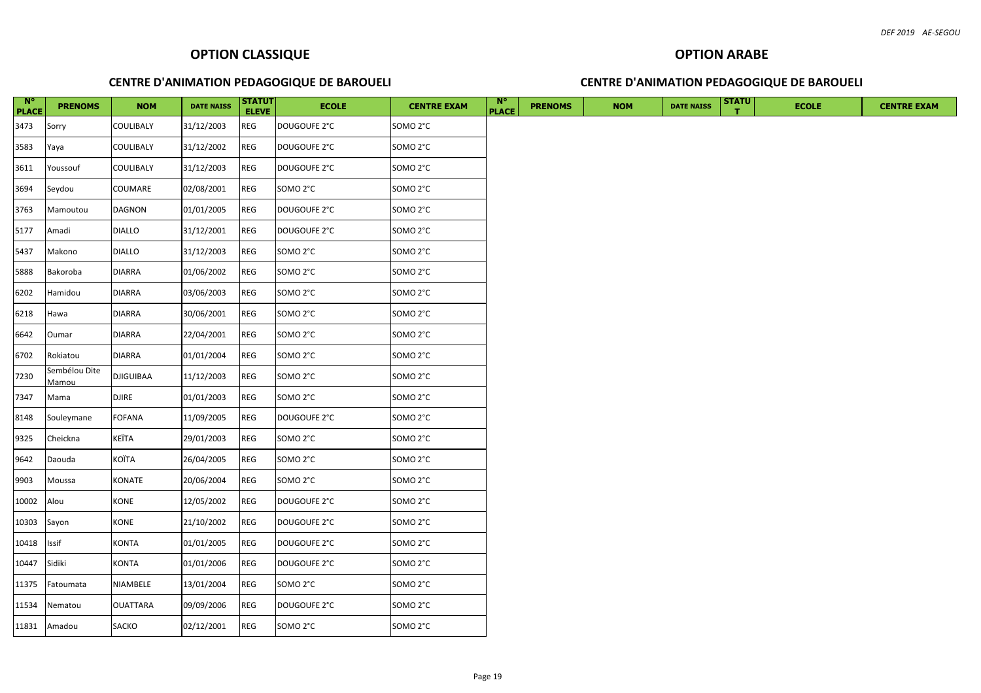| $N^{\circ}$<br><b>PLACE</b> | <b>PRENOMS</b>         | <b>NOM</b>       | <b>DATE NAISS</b> | <b>STATUT</b><br><b>ELEVE</b> | <b>ECOLE</b>        | <b>CENTRE EXAM</b>  | <b>N°</b><br><b>PLACE</b> | <b>PRENOMS</b> | <b>NOM</b> | <b>DATE NAISS</b> | <b>STATU</b> | <b>ECOLE</b> | <b>CENTRE EXAM</b> |
|-----------------------------|------------------------|------------------|-------------------|-------------------------------|---------------------|---------------------|---------------------------|----------------|------------|-------------------|--------------|--------------|--------------------|
| 3473                        | Sorry                  | COULIBALY        | 31/12/2003        | REG                           | DOUGOUFE 2°C        | SOMO <sub>2°C</sub> |                           |                |            |                   |              |              |                    |
| 3583                        | Yaya                   | COULIBALY        | 31/12/2002        | REG                           | DOUGOUFE 2°C        | SOMO <sub>2°C</sub> |                           |                |            |                   |              |              |                    |
| 3611                        | Youssouf               | COULIBALY        | 31/12/2003        | REG                           | DOUGOUFE 2°C        | SOMO <sub>2°C</sub> |                           |                |            |                   |              |              |                    |
| 3694                        | Seydou                 | COUMARE          | 02/08/2001        | REG                           | SOMO 2°C            | SOMO <sub>2°C</sub> |                           |                |            |                   |              |              |                    |
| 3763                        | Mamoutou               | DAGNON           | 01/01/2005        | REG                           | DOUGOUFE 2°C        | SOMO 2°C            |                           |                |            |                   |              |              |                    |
| 5177                        | Amadi                  | <b>DIALLO</b>    | 31/12/2001        | REG                           | DOUGOUFE 2°C        | SOMO <sub>2°C</sub> |                           |                |            |                   |              |              |                    |
| 5437                        | Makono                 | <b>DIALLO</b>    | 31/12/2003        | REG                           | SOMO <sub>2°C</sub> | SOMO <sub>2°C</sub> |                           |                |            |                   |              |              |                    |
| 5888                        | Bakoroba               | <b>DIARRA</b>    | 01/06/2002        | REG                           | SOMO 2°C            | SOMO <sub>2°C</sub> |                           |                |            |                   |              |              |                    |
| 6202                        | Hamidou                | <b>DIARRA</b>    | 03/06/2003        | <b>REG</b>                    | SOMO <sub>2°C</sub> | SOMO <sub>2°C</sub> |                           |                |            |                   |              |              |                    |
| 6218                        | Hawa                   | <b>DIARRA</b>    | 30/06/2001        | <b>REG</b>                    | SOMO 2°C            | SOMO 2°C            |                           |                |            |                   |              |              |                    |
| 6642                        | Oumar                  | <b>DIARRA</b>    | 22/04/2001        | REG                           | SOMO 2°C            | SOMO 2°C            |                           |                |            |                   |              |              |                    |
| 6702                        | Rokiatou               | <b>DIARRA</b>    | 01/01/2004        | REG                           | SOMO 2°C            | SOMO <sub>2°C</sub> |                           |                |            |                   |              |              |                    |
| 7230                        | Sembélou Dite<br>Mamou | <b>DJIGUIBAA</b> | 11/12/2003        | <b>REG</b>                    | SOMO 2°C            | SOMO 2°C            |                           |                |            |                   |              |              |                    |
| 7347                        | Mama                   | DJIRE            | 01/01/2003        | REG                           | SOMO 2°C            | SOMO 2°C            |                           |                |            |                   |              |              |                    |
| 8148                        | Souleymane             | <b>FOFANA</b>    | 11/09/2005        | REG                           | DOUGOUFE 2°C        | SOMO 2°C            |                           |                |            |                   |              |              |                    |
| 9325                        | Cheickna               | KEÏTA            | 29/01/2003        | REG                           | SOMO 2°C            | SOMO <sub>2°C</sub> |                           |                |            |                   |              |              |                    |
| 9642                        | Daouda                 | KOÏTA            | 26/04/2005        | <b>REG</b>                    | SOMO 2°C            | SOMO 2°C            |                           |                |            |                   |              |              |                    |
| 9903                        | Moussa                 | KONATE           | 20/06/2004        | REG                           | SOMO 2°C            | SOMO <sub>2°C</sub> |                           |                |            |                   |              |              |                    |
| 10002                       | Alou                   | KONE             | 12/05/2002        | REG                           | DOUGOUFE 2°C        | SOMO 2°C            |                           |                |            |                   |              |              |                    |
| 10303                       | Sayon                  | KONE             | 21/10/2002        | REG                           | DOUGOUFE 2°C        | SOMO <sub>2°C</sub> |                           |                |            |                   |              |              |                    |
| 10418                       | Issif                  | KONTA            | 01/01/2005        | REG                           | DOUGOUFE 2°C        | SOMO <sub>2°C</sub> |                           |                |            |                   |              |              |                    |
| 10447                       | Sidiki                 | KONTA            | 01/01/2006        | <b>REG</b>                    | DOUGOUFE 2°C        | SOMO 2°C            |                           |                |            |                   |              |              |                    |
| 11375                       | Fatoumata              | NIAMBELE         | 13/01/2004        | REG                           | SOMO 2°C            | SOMO <sub>2°C</sub> |                           |                |            |                   |              |              |                    |
| 11534                       | Nematou                | <b>OUATTARA</b>  | 09/09/2006        | REG                           | DOUGOUFE 2°C        | SOMO <sub>2°C</sub> |                           |                |            |                   |              |              |                    |
|                             | 11831 Amadou           | SACKO            | 02/12/2001        | <b>REG</b>                    | SOMO 2°C            | SOMO <sub>2°C</sub> |                           |                |            |                   |              |              |                    |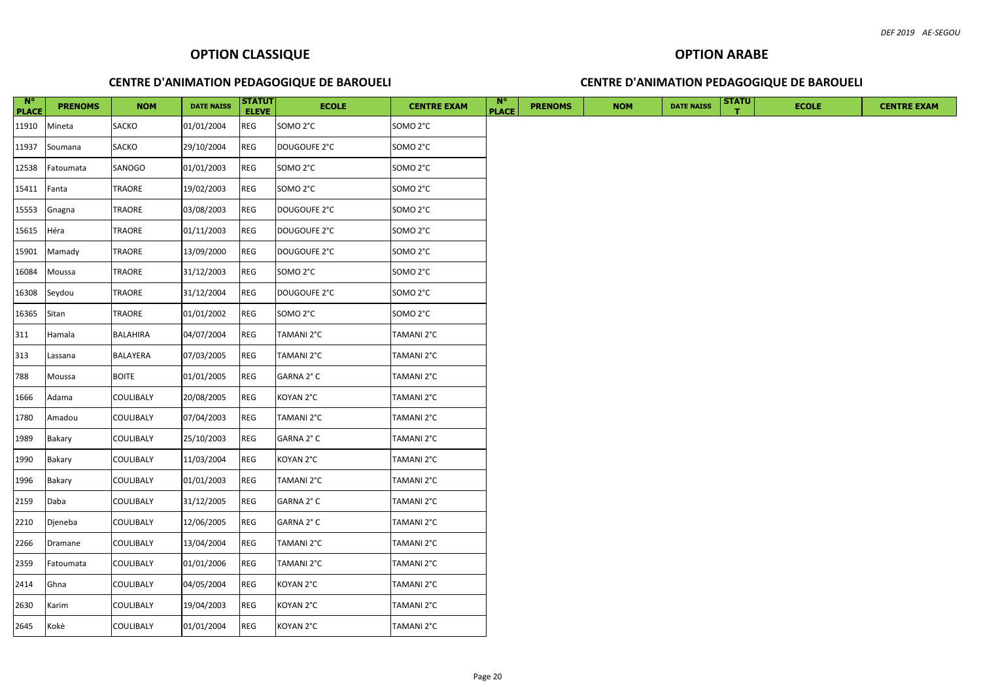| $N^{\circ}$<br><b>PLACE</b> | <b>PRENOMS</b> | <b>NOM</b>   | <b>DATE NAISS</b> | <b>STATUT</b><br><b>ELEVE</b> | <b>ECOLE</b> | <b>CENTRE EXAM</b>   | <b>N°</b><br><b>PLACE</b> | <b>PRENOMS</b> | <b>NOM</b> | <b>DATE NAISS</b> | <b>STATU</b> | <b>ECOLE</b> |  | <b>CENTRE EXAM</b> |
|-----------------------------|----------------|--------------|-------------------|-------------------------------|--------------|----------------------|---------------------------|----------------|------------|-------------------|--------------|--------------|--|--------------------|
| 11910                       | Mineta         | SACKO        | 01/01/2004        | <b>REG</b>                    | SOMO 2°C     | SOMO <sub>2°C</sub>  |                           |                |            |                   |              |              |  |                    |
| 11937                       | Soumana        | SACKO        | 29/10/2004        | REG                           | DOUGOUFE 2°C | SOMO 2°C             |                           |                |            |                   |              |              |  |                    |
| 12538                       | Fatoumata      | SANOGO       | 01/01/2003        | REG                           | SOMO 2°C     | SOMO 2°C             |                           |                |            |                   |              |              |  |                    |
| 15411                       | Fanta          | TRAORE       | 19/02/2003        | REG                           | SOMO 2°C     | SOMO 2°C             |                           |                |            |                   |              |              |  |                    |
| 15553                       | Gnagna         | TRAORE       | 03/08/2003        | <b>REG</b>                    | DOUGOUFE 2°C | SOMO <sub>2</sub> °C |                           |                |            |                   |              |              |  |                    |
| 15615                       | Héra           | TRAORE       | 01/11/2003        | REG                           | DOUGOUFE 2°C | SOMO 2°C             |                           |                |            |                   |              |              |  |                    |
| 15901                       | Mamady         | TRAORE       | 13/09/2000        | REG                           | DOUGOUFE 2°C | SOMO 2°C             |                           |                |            |                   |              |              |  |                    |
| 16084                       | Moussa         | TRAORE       | 31/12/2003        | <b>REG</b>                    | SOMO 2°C     | SOMO <sub>2</sub> °C |                           |                |            |                   |              |              |  |                    |
| 16308                       | Seydou         | TRAORE       | 31/12/2004        | REG                           | DOUGOUFE 2°C | SOMO 2°C             |                           |                |            |                   |              |              |  |                    |
| 16365                       | Sitan          | TRAORE       | 01/01/2002        | REG                           | SOMO 2°C     | SOMO 2°C             |                           |                |            |                   |              |              |  |                    |
| 311                         | Hamala         | BALAHIRA     | 04/07/2004        | REG                           | TAMANI 2°C   | TAMANI 2°C           |                           |                |            |                   |              |              |  |                    |
| 313                         | Lassana        | BALAYERA     | 07/03/2005        | REG                           | TAMANI 2°C   | TAMANI 2°C           |                           |                |            |                   |              |              |  |                    |
| 788                         | Moussa         | <b>BOITE</b> | 01/01/2005        | REG                           | GARNA 2° C   | TAMANI 2°C           |                           |                |            |                   |              |              |  |                    |
| 1666                        | Adama          | COULIBALY    | 20/08/2005        | REG                           | KOYAN 2°C    | TAMANI 2°C           |                           |                |            |                   |              |              |  |                    |
| 1780                        | Amadou         | COULIBALY    | 07/04/2003        | REG                           | TAMANI 2°C   | TAMANI 2°C           |                           |                |            |                   |              |              |  |                    |
| 1989                        | Bakary         | COULIBALY    | 25/10/2003        | <b>REG</b>                    | GARNA 2°C    | TAMANI 2°C           |                           |                |            |                   |              |              |  |                    |
| 1990                        | Bakary         | COULIBALY    | 11/03/2004        | REG                           | KOYAN 2°C    | TAMANI 2°C           |                           |                |            |                   |              |              |  |                    |
| 1996                        | Bakary         | COULIBALY    | 01/01/2003        | <b>REG</b>                    | TAMANI 2°C   | TAMANI 2°C           |                           |                |            |                   |              |              |  |                    |
| 2159                        | Daba           | COULIBALY    | 31/12/2005        | REG                           | GARNA 2° C   | TAMANI 2°C           |                           |                |            |                   |              |              |  |                    |
| 2210                        | Djeneba        | COULIBALY    | 12/06/2005        | REG                           | GARNA 2° C   | TAMANI 2°C           |                           |                |            |                   |              |              |  |                    |
| 2266                        | Dramane        | COULIBALY    | 13/04/2004        | <b>REG</b>                    | TAMANI 2°C   | TAMANI 2°C           |                           |                |            |                   |              |              |  |                    |
| 2359                        | Fatoumata      | COULIBALY    | 01/01/2006        | REG                           | TAMANI 2°C   | TAMANI 2°C           |                           |                |            |                   |              |              |  |                    |
| 2414                        | Ghna           | COULIBALY    | 04/05/2004        | REG                           | KOYAN 2°C    | TAMANI 2°C           |                           |                |            |                   |              |              |  |                    |
| 2630                        | Karim          | COULIBALY    | 19/04/2003        | <b>REG</b>                    | KOYAN 2°C    | TAMANI 2°C           |                           |                |            |                   |              |              |  |                    |
| 2645                        | Kokè           | COULIBALY    | 01/01/2004        | <b>REG</b>                    | KOYAN 2°C    | TAMANI 2°C           |                           |                |            |                   |              |              |  |                    |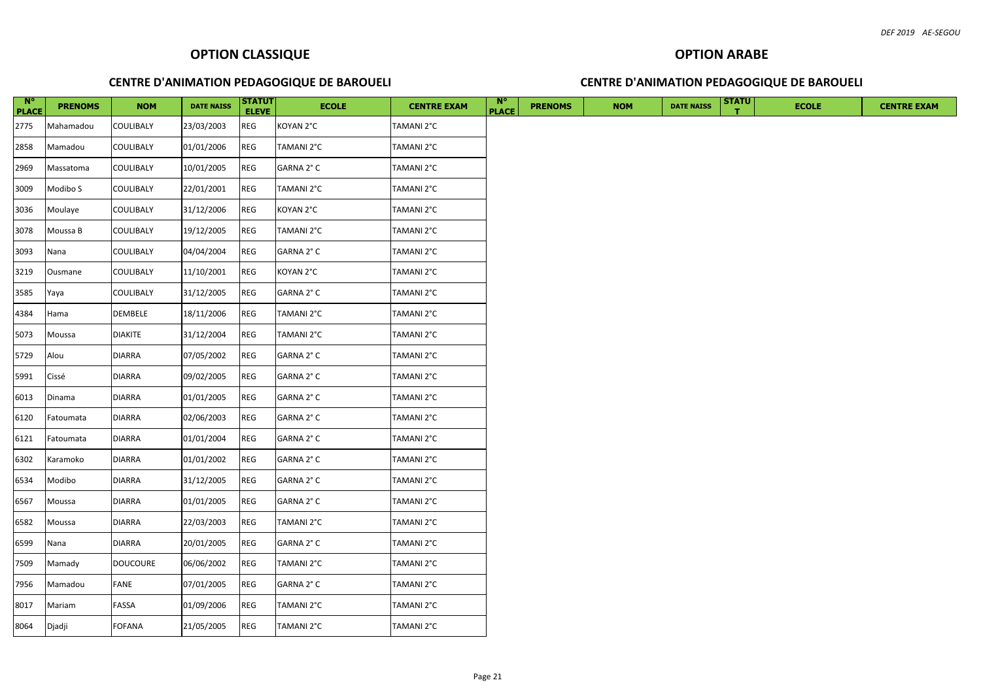| $N^{\circ}$<br><b>PLACE</b> | <b>PRENOMS</b> | <b>NOM</b>      | <b>DATE NAISS</b> | <b>STATUT</b><br><b>ELEVE</b> | <b>ECOLE</b> | <b>CENTRE EXAM</b> | $\mathbf{N}^{\circ}$<br><b>PLACE</b> | <b>PRENOMS</b> | <b>NOM</b> | <b>DATE NAISS</b> | <b>STATU</b> | <b>ECOLE</b> |
|-----------------------------|----------------|-----------------|-------------------|-------------------------------|--------------|--------------------|--------------------------------------|----------------|------------|-------------------|--------------|--------------|
| 2775                        | Mahamadou      | COULIBALY       | 23/03/2003        | <b>REG</b>                    | KOYAN 2°C    | TAMANI 2°C         |                                      |                |            |                   |              |              |
| 2858                        | Mamadou        | COULIBALY       | 01/01/2006        | <b>REG</b>                    | TAMANI 2°C   | TAMANI 2°C         |                                      |                |            |                   |              |              |
| 2969                        | Massatoma      | COULIBALY       | 10/01/2005        | REG                           | GARNA 2° C   | TAMANI 2°C         |                                      |                |            |                   |              |              |
| 3009                        | Modibo S       | COULIBALY       | 22/01/2001        | <b>REG</b>                    | TAMANI 2°C   | TAMANI 2°C         |                                      |                |            |                   |              |              |
| 3036                        | Moulaye        | COULIBALY       | 31/12/2006        | <b>REG</b>                    | KOYAN 2°C    | TAMANI 2°C         |                                      |                |            |                   |              |              |
| 3078                        | Moussa B       | COULIBALY       | 19/12/2005        | <b>REG</b>                    | TAMANI 2°C   | TAMANI 2°C         |                                      |                |            |                   |              |              |
| 3093                        | Nana           | COULIBALY       | 04/04/2004        | REG                           | GARNA 2° C   | TAMANI 2°C         |                                      |                |            |                   |              |              |
| 3219                        | Ousmane        | COULIBALY       | 11/10/2001        | REG                           | KOYAN 2°C    | TAMANI 2°C         |                                      |                |            |                   |              |              |
| 3585                        | Yaya           | COULIBALY       | 31/12/2005        | <b>REG</b>                    | GARNA 2° C   | TAMANI 2°C         |                                      |                |            |                   |              |              |
| 4384                        | Hama           | DEMBELE         | 18/11/2006        | <b>REG</b>                    | TAMANI 2°C   | TAMANI 2°C         |                                      |                |            |                   |              |              |
| 5073                        | Moussa         | <b>DIAKITE</b>  | 31/12/2004        | <b>REG</b>                    | TAMANI 2°C   | TAMANI 2°C         |                                      |                |            |                   |              |              |
| 5729                        | Alou           | <b>DIARRA</b>   | 07/05/2002        | REG                           | GARNA 2° C   | TAMANI 2°C         |                                      |                |            |                   |              |              |
| 5991                        | Cissé          | <b>DIARRA</b>   | 09/02/2005        | <b>REG</b>                    | GARNA 2° C   | TAMANI 2°C         |                                      |                |            |                   |              |              |
| 6013                        | Dinama         | <b>DIARRA</b>   | 01/01/2005        | REG                           | GARNA 2°C    | TAMANI 2°C         |                                      |                |            |                   |              |              |
| 6120                        | Fatoumata      | <b>DIARRA</b>   | 02/06/2003        | REG                           | GARNA 2° C   | TAMANI 2°C         |                                      |                |            |                   |              |              |
| 6121                        | Fatoumata      | <b>DIARRA</b>   | 01/01/2004        | <b>REG</b>                    | GARNA 2° C   | TAMANI 2°C         |                                      |                |            |                   |              |              |
| 6302                        | Karamoko       | <b>DIARRA</b>   | 01/01/2002        | <b>REG</b>                    | GARNA 2° C   | TAMANI 2°C         |                                      |                |            |                   |              |              |
| 6534                        | Modibo         | <b>DIARRA</b>   | 31/12/2005        | <b>REG</b>                    | GARNA 2° C   | TAMANI 2°C         |                                      |                |            |                   |              |              |
| 6567                        | Moussa         | <b>DIARRA</b>   | 01/01/2005        | <b>REG</b>                    | GARNA 2° C   | TAMANI 2°C         |                                      |                |            |                   |              |              |
| 6582                        | Moussa         | <b>DIARRA</b>   | 22/03/2003        | <b>REG</b>                    | TAMANI 2°C   | TAMANI 2°C         |                                      |                |            |                   |              |              |
| 6599                        | Nana           | <b>DIARRA</b>   | 20/01/2005        | REG                           | GARNA 2° C   | TAMANI 2°C         |                                      |                |            |                   |              |              |
| 7509                        | Mamady         | <b>DOUCOURE</b> | 06/06/2002        | REG                           | TAMANI 2°C   | TAMANI 2°C         |                                      |                |            |                   |              |              |
| 7956                        | Mamadou        | <b>FANE</b>     | 07/01/2005        | <b>REG</b>                    | GARNA 2° C   | TAMANI 2°C         |                                      |                |            |                   |              |              |
| 8017                        | Mariam         | FASSA           | 01/09/2006        | <b>REG</b>                    | TAMANI 2°C   | TAMANI 2°C         |                                      |                |            |                   |              |              |
| 8064                        | Djadji         | <b>FOFANA</b>   | 21/05/2005        | <b>REG</b>                    | TAMANI 2°C   | TAMANI 2°C         |                                      |                |            |                   |              |              |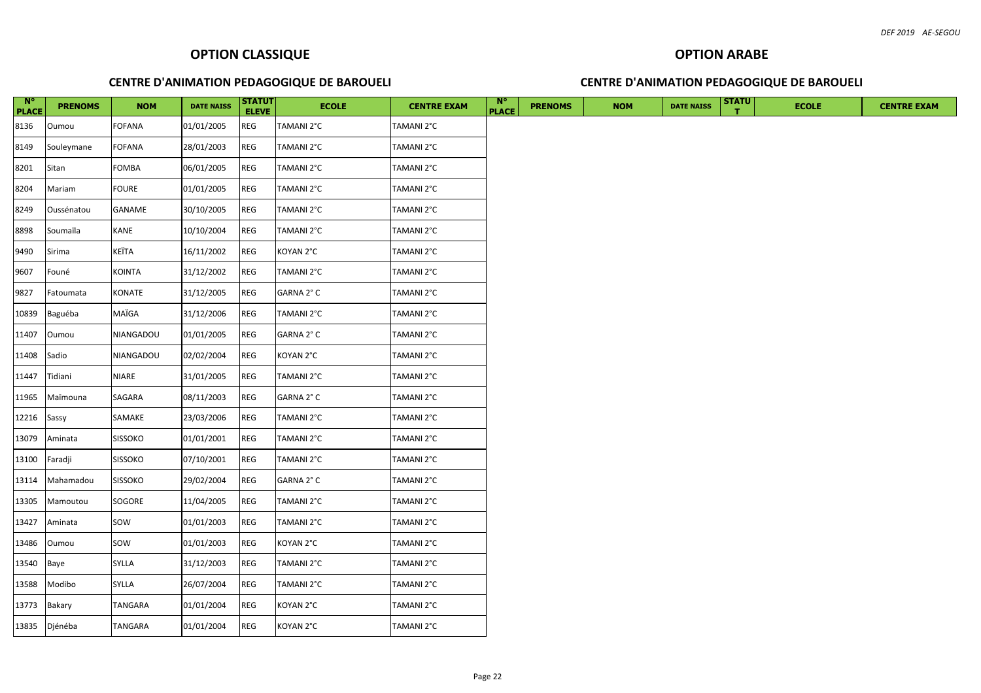| $\blacksquare$ N°<br><b>PLACE</b> | <b>PRENOMS</b> | <b>NOM</b>     | <b>DATE NAISS</b> | <b>STATUT</b><br><b>ELEVE</b> | <b>ECOLE</b> | <b>CENTRE EXAM</b> | $\mathbb{N}^{\circ}$<br><b>PLACE</b> | <b>PRENOMS</b> | <b>NOM</b> | <b>DATE NAISS</b> | <b>STATU</b> | <b>ECOLE</b> | <b>CENTRE EXAM</b> |
|-----------------------------------|----------------|----------------|-------------------|-------------------------------|--------------|--------------------|--------------------------------------|----------------|------------|-------------------|--------------|--------------|--------------------|
| 8136                              | Oumou          | <b>FOFANA</b>  | 01/01/2005        | <b>REG</b>                    | TAMANI 2°C   | TAMANI 2°C         |                                      |                |            |                   |              |              |                    |
| 8149                              | Souleymane     | <b>FOFANA</b>  | 28/01/2003        | REG                           | TAMANI 2°C   | TAMANI 2°C         |                                      |                |            |                   |              |              |                    |
| 8201                              | Sitan          | <b>FOMBA</b>   | 06/01/2005        | <b>REG</b>                    | TAMANI 2°C   | TAMANI 2°C         |                                      |                |            |                   |              |              |                    |
| 8204                              | Mariam         | <b>FOURE</b>   | 01/01/2005        | REG                           | TAMANI 2°C   | TAMANI 2°C         |                                      |                |            |                   |              |              |                    |
| 8249                              | Oussénatou     | GANAME         | 30/10/2005        | <b>REG</b>                    | TAMANI 2°C   | TAMANI 2°C         |                                      |                |            |                   |              |              |                    |
| 8898                              | Soumaïla       | KANE           | 10/10/2004        | REG                           | TAMANI 2°C   | TAMANI 2°C         |                                      |                |            |                   |              |              |                    |
| 9490                              | Sirima         | KEÏTA          | 16/11/2002        | REG                           | KOYAN 2°C    | TAMANI 2°C         |                                      |                |            |                   |              |              |                    |
| 9607                              | Founé          | <b>KOINTA</b>  | 31/12/2002        | <b>REG</b>                    | TAMANI 2°C   | TAMANI 2°C         |                                      |                |            |                   |              |              |                    |
| 9827                              | Fatoumata      | KONATE         | 31/12/2005        | <b>REG</b>                    | GARNA 2° C   | TAMANI 2°C         |                                      |                |            |                   |              |              |                    |
| 10839                             | Baguéba        | MAÏGA          | 31/12/2006        | <b>REG</b>                    | TAMANI 2°C   | TAMANI 2°C         |                                      |                |            |                   |              |              |                    |
| 11407                             | Oumou          | NIANGADOU      | 01/01/2005        | REG                           | GARNA 2°C    | TAMANI 2°C         |                                      |                |            |                   |              |              |                    |
| 11408                             | Sadio          | NIANGADOU      | 02/02/2004        | REG                           | KOYAN 2°C    | TAMANI 2°C         |                                      |                |            |                   |              |              |                    |
| 11447                             | Tidiani        | <b>NIARE</b>   | 31/01/2005        | REG                           | TAMANI 2°C   | TAMANI 2°C         |                                      |                |            |                   |              |              |                    |
| 11965                             | Maïmouna       | SAGARA         | 08/11/2003        | REG                           | GARNA 2° C   | TAMANI 2°C         |                                      |                |            |                   |              |              |                    |
| 12216                             | Sassy          | SAMAKE         | 23/03/2006        | REG                           | TAMANI 2°C   | TAMANI 2°C         |                                      |                |            |                   |              |              |                    |
| 13079                             | Aminata        | <b>SISSOKO</b> | 01/01/2001        | REG                           | TAMANI 2°C   | TAMANI 2°C         |                                      |                |            |                   |              |              |                    |
| 13100                             | Faradji        | <b>SISSOKO</b> | 07/10/2001        | <b>REG</b>                    | TAMANI 2°C   | TAMANI 2°C         |                                      |                |            |                   |              |              |                    |
| 13114                             | Mahamadou      | <b>SISSOKO</b> | 29/02/2004        | <b>REG</b>                    | GARNA 2° C   | TAMANI 2°C         |                                      |                |            |                   |              |              |                    |
| 13305                             | Mamoutou       | SOGORE         | 11/04/2005        | <b>REG</b>                    | TAMANI 2°C   | TAMANI 2°C         |                                      |                |            |                   |              |              |                    |
| 13427                             | Aminata        | SOW            | 01/01/2003        | REG                           | TAMANI 2°C   | TAMANI 2°C         |                                      |                |            |                   |              |              |                    |
| 13486                             | Oumou          | sow            | 01/01/2003        | REG                           | KOYAN 2°C    | TAMANI 2°C         |                                      |                |            |                   |              |              |                    |
| 13540                             | Baye           | SYLLA          | 31/12/2003        | REG                           | TAMANI 2°C   | TAMANI 2°C         |                                      |                |            |                   |              |              |                    |
| 13588                             | Modibo         | SYLLA          | 26/07/2004        | REG                           | TAMANI 2°C   | TAMANI 2°C         |                                      |                |            |                   |              |              |                    |
| 13773                             | Bakary         | TANGARA        | 01/01/2004        | REG                           | KOYAN 2°C    | TAMANI 2°C         |                                      |                |            |                   |              |              |                    |
|                                   | 13835 Djénéba  | TANGARA        | 01/01/2004        | <b>REG</b>                    | KOYAN 2°C    | TAMANI 2°C         |                                      |                |            |                   |              |              |                    |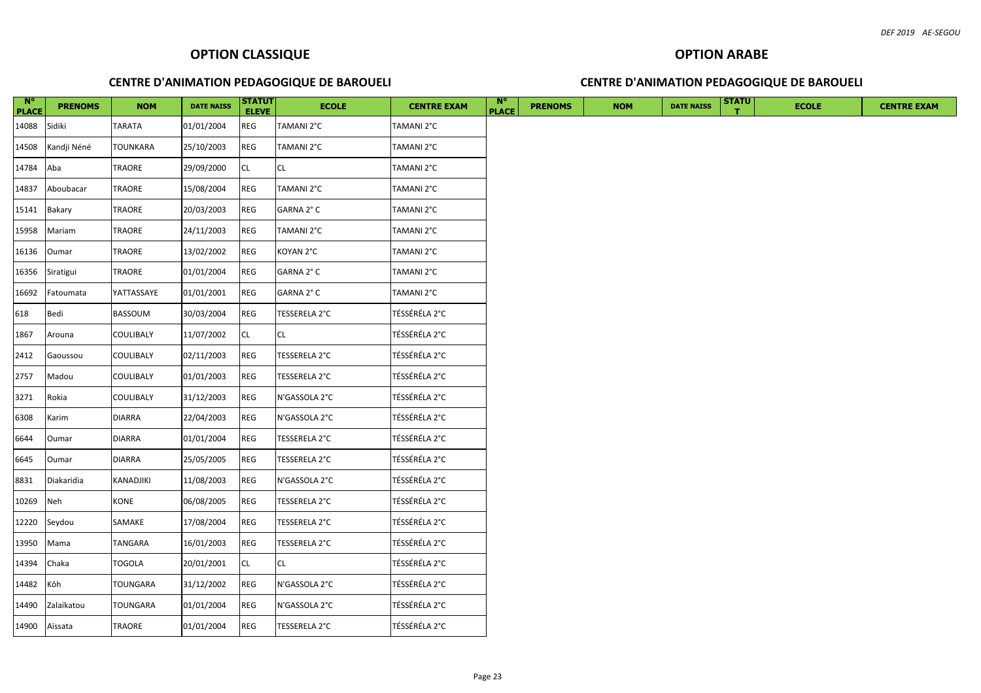| $N^{\circ}$<br><b>PLACE</b> | <b>PRENOMS</b> | <b>NOM</b>      | <b>DATE NAISS</b> | <b>STATUT</b><br><b>ELEVE</b> | <b>ECOLE</b>  | <b>CENTRE EXAM</b> | $N^{\circ}$<br><b>PLACE</b> | <b>PRENOMS</b> | <b>NOM</b> | <b>DATE NAISS</b> | <b>STATU</b> | <b>ECOLE</b> | <b>CENTRE EXAM</b> |
|-----------------------------|----------------|-----------------|-------------------|-------------------------------|---------------|--------------------|-----------------------------|----------------|------------|-------------------|--------------|--------------|--------------------|
| 14088                       | Sidiki         | TARATA          | 01/01/2004        | REG                           | TAMANI 2°C    | TAMANI 2°C         |                             |                |            |                   |              |              |                    |
| 14508                       | Kandji Néné    | <b>TOUNKARA</b> | 25/10/2003        | REG                           | TAMANI 2°C    | TAMANI 2°C         |                             |                |            |                   |              |              |                    |
| 14784                       | Aba            | TRAORE          | 29/09/2000        | <b>CL</b>                     | <b>CL</b>     | TAMANI 2°C         |                             |                |            |                   |              |              |                    |
| 14837                       | Aboubacar      | TRAORE          | 15/08/2004        | REG                           | TAMANI 2°C    | TAMANI 2°C         |                             |                |            |                   |              |              |                    |
| 15141                       | Bakary         | TRAORE          | 20/03/2003        | REG                           | GARNA 2°C     | TAMANI 2°C         |                             |                |            |                   |              |              |                    |
| 15958                       | Mariam         | TRAORE          | 24/11/2003        | REG                           | TAMANI 2°C    | TAMANI 2°C         |                             |                |            |                   |              |              |                    |
| 16136                       | Oumar          | TRAORE          | 13/02/2002        | REG                           | KOYAN 2°C     | TAMANI 2°C         |                             |                |            |                   |              |              |                    |
| 16356                       | Siratigui      | TRAORE          | 01/01/2004        | <b>REG</b>                    | GARNA 2° C    | TAMANI 2°C         |                             |                |            |                   |              |              |                    |
| 16692                       | Fatoumata      | YATTASSAYE      | 01/01/2001        | <b>REG</b>                    | GARNA 2° C    | TAMANI 2°C         |                             |                |            |                   |              |              |                    |
| 618                         | Bedi           | BASSOUM         | 30/03/2004        | <b>REG</b>                    | TESSERELA 2°C | TÉSSÉRÉLA 2°C      |                             |                |            |                   |              |              |                    |
| 1867                        | Arouna         | COULIBALY       | 11/07/2002        | CL                            | <b>CL</b>     | TÉSSÉRÉLA 2°C      |                             |                |            |                   |              |              |                    |
| 2412                        | Gaoussou       | COULIBALY       | 02/11/2003        | <b>REG</b>                    | TESSERELA 2°C | TÉSSÉRÉLA 2°C      |                             |                |            |                   |              |              |                    |
| 2757                        | Madou          | COULIBALY       | 01/01/2003        | REG                           | TESSERELA 2°C | TÉSSÉRÉLA 2°C      |                             |                |            |                   |              |              |                    |
| 3271                        | Rokia          | COULIBALY       | 31/12/2003        | <b>REG</b>                    | N'GASSOLA 2°C | TÉSSÉRÉLA 2°C      |                             |                |            |                   |              |              |                    |
| 6308                        | Karim          | <b>DIARRA</b>   | 22/04/2003        | REG                           | N'GASSOLA 2°C | TÉSSÉRÉLA 2°C      |                             |                |            |                   |              |              |                    |
| 6644                        | Oumar          | <b>DIARRA</b>   | 01/01/2004        | REG                           | TESSERELA 2°C | TÉSSÉRÉLA 2°C      |                             |                |            |                   |              |              |                    |
| 6645                        | Oumar          | <b>DIARRA</b>   | 25/05/2005        | <b>REG</b>                    | TESSERELA 2°C | TÉSSÉRÉLA 2°C      |                             |                |            |                   |              |              |                    |
| 8831                        | Diakaridia     | KANADJIKI       | 11/08/2003        | REG                           | N'GASSOLA 2°C | TÉSSÉRÉLA 2°C      |                             |                |            |                   |              |              |                    |
| 10269                       | Neh            | KONE            | 06/08/2005        | REG                           | TESSERELA 2°C | TÉSSÉRÉLA 2°C      |                             |                |            |                   |              |              |                    |
| 12220                       | Seydou         | SAMAKE          | 17/08/2004        | REG                           | TESSERELA 2°C | TÉSSÉRÉLA 2°C      |                             |                |            |                   |              |              |                    |
| 13950                       | Mama           | TANGARA         | 16/01/2003        | REG                           | TESSERELA 2°C | TÉSSÉRÉLA 2°C      |                             |                |            |                   |              |              |                    |
| 14394                       | Chaka          | <b>TOGOLA</b>   | 20/01/2001        | CL                            | <b>CL</b>     | TÉSSÉRÉLA 2°C      |                             |                |            |                   |              |              |                    |
| 14482                       | Kôh            | TOUNGARA        | 31/12/2002        | <b>REG</b>                    | N'GASSOLA 2°C | TÉSSÉRÉLA 2°C      |                             |                |            |                   |              |              |                    |
| 14490                       | Zalaïkatou     | TOUNGARA        | 01/01/2004        | REG                           | N'GASSOLA 2°C | TÉSSÉRÉLA 2°C      |                             |                |            |                   |              |              |                    |
| 14900 Aïssata               |                | TRAORE          | 01/01/2004        | <b>REG</b>                    | TESSERELA 2°C | TÉSSÉRÉLA 2°C      |                             |                |            |                   |              |              |                    |